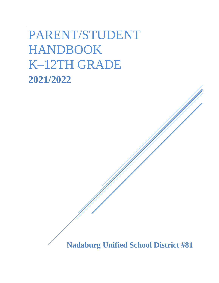# PARENT/STUDENT HANDBOOK K–12TH GRADE **2021/2022**

**Nadaburg Unified School District #81**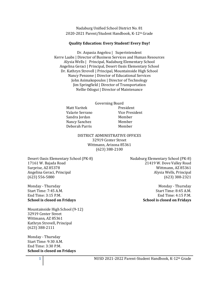Nadaburg Unified School District No. 81 2020-2021 Parent/Student Handbook, K-12th Grade

#### **Quality Education: Every Student! Every Day!**

Dr. Aspasia Angelou | Superintendent Kerre Laabs | Director of Business Services and Human Resources Alysia Wells | Principal, Nadaburg Elementary School Angelina Geraci | Principal, Desert Oasis Elementary School Dr. Kathryn Strevell | Principal, Mountainside High School Nancy Penzone | Director of Educational Services John Asimakopoulos | Director of Technology Jim Springfield | Director of Transportation Nellie Odogui | Director of Maintenance

> Governing Board Matt Varitek Valarie Serrano Sandra Jordan Nancy Sanchez Deborah Parris

President Vice President Member Member Member

DISTRICT ADMINISTRATIVE OFFICES 32919 Center Street Wittmann, Arizona 85361 (623) 388-2100

Desert Oasis Elementary School (PK-8) 17161 W. Bajada Road Surprise, AZ 85378 Angelina Geraci, Principal (623) 556-5880

Monday - Thursday Start Time: 7:45 A.M. End Time: 3:15 P.M. **School is closed on Fridays**

Mountainside High School (9-12) 32919 Center Street Wittmann, AZ 85361 Kathryn Strevell, Principal (623) 388-2111

Monday - Thursday Start Time: 9:30 A.M. End Time: 3:30 P.M. **School is closed on Fridays** Nadaburg Elementary School (PK-8) 21419 W. Dove Valley Road Wittmann, AZ 85361 Alysia Wells, Principal (623) 388-2321

> Monday - Thursday Start Time: 8:45 A.M. End Time: 4:15 P.M. **School is closed on Fridays**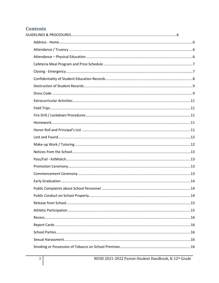# **Contents**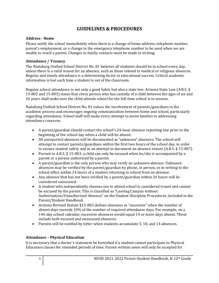# **GUIDELINES & PROCEDURES**

## <span id="page-6-1"></span><span id="page-6-0"></span>**Address - Home**

Please notify the school immediately when there is a change of home address, telephone number, parent's employment, or a change in the emergency telephone number to be used when we are unable to reach a parent. Changes to family contacts must be made in writing.

## <span id="page-6-2"></span>**Attendance / Truancy**

The Nadaburg Unified School District No. 81 believes all students should be in school every day, unless there is a valid reason for an absence, such as those related to medical or religious absences. Regular and timely attendance is a determining factor in educational success. Critical academic information is lost each time a student is out of the classroom.

Regular school attendance is not only a good habit, but also a state law. Arizona State Law (A.R.S. § 15-802 and 15-803) states that every person who has custody of a child between the ages of six and 16 years shall make sure the child attends school for the full-time school is in session.

Nadaburg Unified School District No. 81 values the involvement of parents/guardians in the academic process and encourages ongoing communication between home and school, particularly regarding attendance. School staff will make every attempt to assist families in addressing attendance concerns.

- A parent/guardian should contact the school's 24-hour absence reporting line prior to the beginning of the school day when a child will be absent.
- All unreported absences will be documented as "unknown" absences. The school will attempt to contact parents/guardians within the first two hours of the school day, in order to ensure student safety and in an attempt to document an absence reason (A.R.S. § 15-807).
- Pursuit to A.R.S. § 15-803, a child can only be excused when he/she is accompanied by a parent or a person authorized by a parent.
- A parent/guardian is the only person who may verify an unknown absence. Unknown absences may be verified by the parent/guardian by phone, in person, or in writing to the school office within 24 hours of a student returning to school from an absence.
- Any absence that has not been verified by a parent/guardian within 24 hours will be considered unexcused.
- A student who independently chooses not to attend school is considered truant and cannot be excused by the parent. This is classified as "Leaving Campus without Authorization/Unauthorized Absence" on the Student Discipline Procedures, included in the Parent/Student Handbook.
- Arizona Revised Statute §15-803 defines absences as "excessive" when the number of absent days exceeds 10% of the number of required attendance days. For example, on a 144-day school calendar, excessive absences would equal 14 or more days absent. These include both excused and unexcused absences.
- Parents will be notified by letter when students accumulate 5, 10, and 14 absences.

## <span id="page-6-3"></span>**Attendance – Physical Education**

It is necessary that a doctor's statement be furnished if a student cannot participate in Physical Education classes for extended periods of time. Parent-written notes will only be accepted for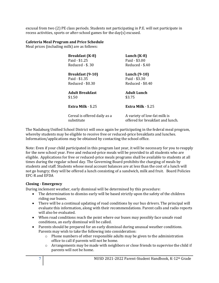excusal from two (2) PE class periods. Students not participating in P.E. will not participate in recess activities, sports or after-school games for the day(s) excused.

## <span id="page-7-0"></span>**Cafeteria Meal Program and Price Schedule**

Meal prices (including milk) are as follows:

| <b>Breakfast</b> (K-8)<br>Paid - \$1.25<br>Reduced - \$.30   | Lunch $(K-8)$<br>Paid - \$3.00<br>Reduced - \$.40                |
|--------------------------------------------------------------|------------------------------------------------------------------|
| <b>Breakfast</b> (9-10)<br>Paid - \$1.35<br>Reduced - \$0.30 | Lunch (9-10)<br>Paid - \$3.30<br>Reduced - \$0.40                |
| <b>Adult Breakfast</b><br>\$1.50                             | Adult Lunch<br>\$3.75                                            |
| Extra Milk - \$.25                                           | Extra Milk - \$.25                                               |
| Cereal is offered daily as a<br>substitute                   | A variety of low-fat milk is<br>offered for breakfast and lunch. |

The Nadaburg Unified School District will once again be participating in the federal meal program, whereby students may be eligible to receive free or reduced-price breakfasts and lunches. Information/applications may be obtained by contacting the school office.

Note: Even if your child participated in this program last year, it will be necessary for you to reapply for the new school year. Free and reduced-price meals will be provided to all students who are eligible. Applications for free or reduced-price meals programs shall be available to students at all times during the regular school day. The Governing Board prohibits the charging of meals by students and staff. Students whose meal account balances are at less than the cost of a lunch will not go hungry; they will be offered a lunch consisting of a sandwich, milk and fruit. Board Policies EFC-R and EFDA

## <span id="page-7-1"></span>**Closing - Emergency**

During inclement weather, early dismissal will be determined by this procedure:

- The determination to dismiss early will be based strictly upon the safety of the children riding our buses.
- There will be a continual updating of road conditions by our bus drivers. The principal will evaluate this information, along with their recommendations. Parent calls and radio reports will also be evaluated.
- When road conditions reach the point where our buses may possibly face unsafe road conditions, an early dismissal will be called.
- Parents should be prepared for an early dismissal during unusual weather conditions. Parents may wish to take the following into consideration:
	- $\circ$  Phone numbers of other responsible adults may be given to the administration office to call if parents will not be home.
	- $\circ$  Arrangements may be made with neighbors or close friends to supervise the child if parents will not be home.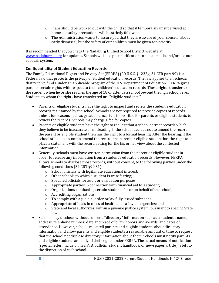- $\circ$  Plans should be worked out with the child so that if temporarily unsupervised at home, all safety precautions will be strictly followed.
- o The Administration wants to assure you that they are aware of your concern about early dismissal, but the safety of our children must be given top priority.

It is recommended that you check the Nadaburg Unified School District website at [www.nadaburgsd.org](http://www.nadaburgsd.org/) for updates. Schools will also post notification to social media and/or use our robocall system.

## <span id="page-8-0"></span>**Confidentiality of Student Education Records**

The Family Educational Rights and Privacy Act (FERPA) (20 U.S.C. §1232g; 34 CFR part 99) is a Federal law that protects the privacy of student education records. The law applies to all schools that receive funds under an applicable program of the U.S. Department of Education. FERPA gives parents certain rights with respect to their children's education records. These rights transfer to the student when he or she reaches the age of 18 or attends a school beyond the high school level. Students to whom the rights have transferred are "eligible students."

- Parents or eligible students have the right to inspect and review the student's education records maintained by the school. Schools are not required to provide copies of records unless, for reasons such as great distance, it is impossible for parents or eligible students to review the records. Schools may charge a fee for copies.
- Parents or eligible students have the right to request that a school correct records which they believe to be inaccurate or misleading. If the school decides not to amend the record, the parent or eligible student then has the right to a formal hearing. After the hearing, if the school still decides not to amend the record, the parent or eligible student has the right to place a statement with the record setting for the his or her view about the contested information.
- Generally, schools must have written permission from the parent or eligible student in order to release any information from a student's education records. However, FERPA allows schools to disclose those records, without consent, to the following parties under the following conditions (34 CRT §99.31):
	- o School officials with legitimate educational interest;
	- o Other schools to which a student is transferring;
	- o Specified officials for audit or evaluation purposes;
	- o Appropriate parties in connection with financial aid to a student;
	- $\circ$  Organizations conducting certain students for or on behalf of the school;
	- o Accrediting organizations;
	- o To comply with a judicial order or lawfully issued subpoena;
	- o Appropriate officials in cases of health and safety emergencies; and
	- o State and local authorizes, within a juvenile justice system, pursuant to specific State law.
- Schools may disclose, without consent, "directory" information such as a student's name, address, telephone number, date and place of birth, honors and awards, and dates of attendance. However, schools must tell parents and eligible students about directory information and allow parents and eligible students a reasonable amount of time to request that the school not disclose directory information about them. Schools must notify parents and eligible students annually of their rights under FERPA. The actual means of notification (special letter, inclusion in a PTA bulletin, student handbook, or newspaper article) is left to the discretion of each school.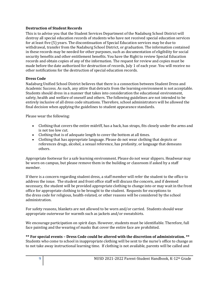## <span id="page-9-0"></span>**Destruction of Student Records**

This is to advise you that the Student Services Department of the Nadaburg School District will destroy all special education records of students who have not received special education services for at least five (5) years. The discontinuation of Special Education services may be due to withdrawal, transfer from the Nadaburg School District, or graduation. The information contained in these records may be needed for other purposes, such as documentation of eligibility for social security benefits and other entitlement benefits. You have the Right to review Special Education records and obtain copies of any of the information. The request for review and copies must be made before the date authorized for destruction of records, July 1 of each year. You will receive no other notifications for the destruction of special education records.

## <span id="page-9-1"></span>**Dress Code**

Nadaburg Unified School District believes that there is a connection between Student Dress and Academic Success. As such, any attire that detracts from the learning environment is not acceptable. Students should dress in a manner that takes into consideration the educational environment, safety, health and welfare of oneself and others. The following guidelines are not intended to be entirely inclusive of all dress code situations. Therefore, school administrators will be allowed the final decision when applying the guidelines to student appearance standards.

Please wear the following:

- Clothing that covers the entire midriff, has a back, has straps, fits closely under the arms and is not too low cut.
- Clothing that is of adequate length to cover the bottom at all times.
- Clothing that has appropriate language. Please do not wear clothing that depicts or references drugs, alcohol, a sexual reference, has profanity, or language that demeans others.

Appropriate footwear for a safe learning environment. Please do not wear slippers. Headwear may be worn on campus, but please remove them in the building or classroom if asked by a staff member.

If there is a concern regarding student dress, a staff member will refer the student to the office to address the issue. The student and front office staff will discuss the concern, and if deemed necessary, the student will be provided appropriate clothing to change into or may wait in the front office for appropriate clothing to be brought to the student. Requests for exceptions to the dress code for religious, health-related, or other reasons will be considered by the school administration.

For safety reasons, blankets are not allowed to be worn and/or carried. Students should wear appropriate outerwear for warmth such as jackets and/or sweatshirts.

We encourage participation on spirit days. However, students must be identifiable. Therefore, full face painting and the wearing of masks that cover the entire face are prohibited.

**\*\* For special events – Dress Code could be altered with the discretion of administration. \*\***  Students who come to school in inappropriate clothing will be sent to the nurse's office to change as to not take away instructional learning time. If clothing is not available, parents will be called and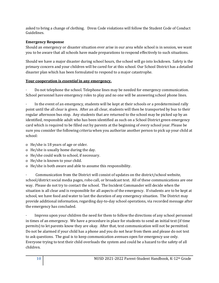asked to bring a change of clothing. Dress Code violations will follow the Student Code of Conduct Guidelines.

## **Emergency Response**

Should an emergency or disaster situation ever arise in our area while school is in session, we want you to be aware that all schools have made preparations to respond effectively to such situations.

Should we have a major disaster during school hours, the school will go into lockdown. Safety is the primary concern and your children will be cared for at this school. Our School District has a detailed disaster plan which has been formulated to respond to a major catastrophe.

## **Your cooperation is** *essential* **in any emergency.**

· Do not telephone the school. Telephone lines may be needed for emergency communication. School personnel have emergency roles to play and no one will be answering school phone lines.

In the event of an emergency, students will be kept at their schools or a predetermined rally point until the all clear is given. After an all clear, students will then be transported by bus to their regular afternoon bus stop. Any students that are returned to the school may be picked up by an identified, responsible adult who has been identified as such on a School District green emergency card which is required to be filled out by parents at the beginning of every school year. Please be sure you consider the following criteria when you authorize another person to pick up your child at school:

- o He/she is 18 years of age or older.
- o He/she is usually home during the day.
- o He/she could walk to school, if necessary.
- o He/she is known to your child.
- o He/she is both aware and able to assume this responsibility.

Communication from the District will consist of updates on the district/school website, school/district social media pages, robo call, or broadcast text. All of these communications are one way. Please do not try to contact the school. The Incident Commander will decide when the situation is all clear and is responsible for all aspects of the emergency. If students are to be kept at school, we have food and water to last the duration of any emergency situation. The District may provide additional information, regarding day-to-day school operations, via recorded message after the emergency has concluded.

· Impress upon your children the need for them to follow the directions of any school personnel in times of an emergency. We have a procedure in place for students to send an initial text (if time permits) to let parents know they are okay. After that, text communication will not be permitted. Do not be alarmed if your child has a phone and you do not hear from them and please do not text to ask questions. The goal is to keep communication avenues open for emergency use only. Everyone trying to text their child overloads the system and could be a hazard to the safety of all children.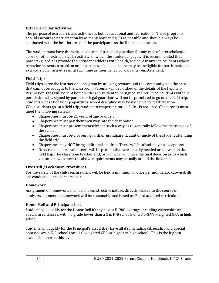## <span id="page-11-0"></span>**Extracurricular Activities**

The purpose of extracurricular activities is both educational and recreational. These programs should encourage participation by as many boys and girls as possible and should always be conducted with the best interests of the participants as the first consideration.

The student must have the written consent of parent or guardian for any type of interscholastic sport, or other extracurricular activity, in which the student engages. It is recommended that parents/guardians provide their student athletes with health/accident insurance. Students whose behavior presents a problem or jeopardizes school discipline may be ineligible for participation in extracurricular activities until such time as their behavior warrants reinstatement.

## <span id="page-11-1"></span>**Field Trips**

Field trips serve the instructional program by utilizing resources of the community and the area that cannot be brought to the classroom. Parents will be notified of the details of the field trip. Permission slips will be sent home with each student to be signed and returned. Students without permission slips signed by parents or legal guardians will not be permitted to go on the field trip. Students whose behavior jeopardizes school discipline may be ineligible for participation. When students go on a field trip, student to chaperone ratio of 10:1 is required. Chaperones must meet the following criteria:

- Chaperones must be 21 years of age or older.
- Chaperones must pay their own way into the destination,
- Chaperones must present themselves in such a way as to generally follow the dress code of the school.
- Chaperones must be a parent, guardian, grandparent, aunt or uncle of the student attending the field trip.
- Chaperones may NOT bring additional children. There will be absolutely no exceptions.
- On occasion, more volunteers will be present than are actually needed or allowed on the field trip. The classroom teacher and/or principal will have the final decision as to which volunteers who meet the above requirements may actually attend the field trip.

## <span id="page-11-2"></span>**Fire Drill / Lockdown Procedures**

For the safety of the children, fire drills will be held a minimum of once per month. Lockdown drills are conducted once per semester.

## <span id="page-11-3"></span>**Homework**

Assignment of homework shall be of a constructive nature, directly related to the course of study. Assignment of homework will be reasonable and based on Board adopted curriculum.

## <span id="page-11-4"></span>**Honor Roll and Principal's List**

Students will qualify for the Honor Roll if they have a B (80) average, including citizenship and special area classes, with no grade lower than a C in K-8 schools or a 3.5-3.99 weighted GPA in high school.

Students will qualify for the Principal's List if they have all A's, including citizenship and special area classes in K-8 schools or a 4.0 weighted GPA or higher in high school. This is the highest academic honor at this level.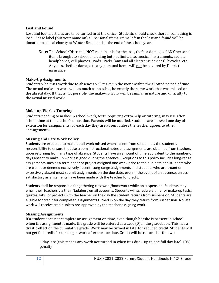#### <span id="page-12-0"></span>**Lost and Found**

Lost and found articles are to be turned in at the office. Students should check there if something is lost. Please label (put your name on) all personal items. Items left in the lost and found will be donated to a local charity at Winter Break and at the end of the school year.

**Note:** The School/District is **NOT** responsible for the loss, theft or damage of ANY personal items brought to school, including but not limited to, musical instruments, radios, headphones, cell phones, iPods, iPads, (any and all electronic devices), bicycles, etc. Any loss, theft or damage to any personal items will not be covered by District insurance.

## **Make-Up Assignments**

Students who miss work due to absences will make up the work within the allotted period of time. The actual make-up work will, as much as possible, be exactly the same work that was missed on the absent day. If that is not possible, the make-up work will be similar in nature and difficulty to the actual missed work.

## <span id="page-12-1"></span>**Make-up Work / Tutoring**

Students needing to make-up school work, tests, requiring extra help or tutoring, may use after school time at the teacher's discretion. Parents will be notified. Students are allowed one day of extension for assignments for each day they are absent unless the teacher agrees to other arrangements.

## **Missing and Late Work Policy**

Students are expected to make up all work missed when absent from school. It is the student's responsibility to ensure that classroom instructional notes and assignments are obtained from teachers upon returning from any type of absence. Students have an amount of time equivalent to the number of days absent to make up work assigned during the absence. Exceptions to this policy includes long-range assignments such as a term paper or project assigned one week prior to the due date and students who are truant or deemed excessively absent. Long range assignments and students who are truant or excessively absent must submit assignments on the due date, even in the event of an absence, unless satisfactory arrangements have been made with the teacher for credit.

Students shall be responsible for gathering classwork/homework while on suspension. Students may email their teachers via their Nadaburg email accounts. Students will schedule a time for make-up tests, quizzes, labs, or projects with the teacher on the day the student returns from suspension. Students are eligible for credit for completed assignments turned in on the day they return from suspension. No late work will receive credit unless pre-approved by the teacher assigning work.

## **Missing Assignments**

If a student does not complete an assignment on time, even though he/she is present in school when the assignment is made, the grade will be entered as a zero (0) in the gradebook. This has a drastic effect on the cumulative grade. Work may be turned in late, for reduced credit. Students will not get full credit for turning in work after the due date. Credit will be reduced as follows:

1 day late (this means any work not turned in when it is due – up to one full day late) 10% penalty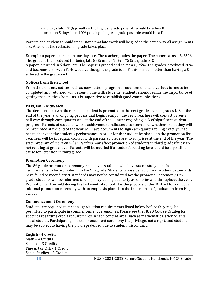2 – 5 days late, 20% penalty – the highest grade possible would be a low B. more than 5 days late, 40% penalty – highest grade possible would be a D.

Parents and students should understand that late work will be graded the same way all assignments are. After that the reduction in grade takes place.

Example: a paper is turned in one day late. The teacher grades the paper. The paper earns a B, 85%. The grade is then reduced for being late 85% minus 10% = 75%, a grade of C A paper is turned in 5 days late. The paper is graded and earns a C, 75%. The grades is reduced 20% and becomes a 55%, an F. However, although the grade is an F, this is much better than having a 0 entered in the gradebook.

## <span id="page-13-0"></span>**Notices from the School**

From time to time, notices such as newsletters, program announcements and various forms to be completed and returned will be sent home with students. Students should realize the importance of getting these notices home, as it is imperative to establish good communications.

## <span id="page-13-1"></span>**Pass/Fail - KidWatch**

The decision as to whether or not a student is promoted to the next grade level in grades K-8 at the end of the year is an ongoing process that begins early in the year. Teachers will contact parents half way through each quarter and at the end of the quarter regarding lack of significant student progress. Parents of students whose achievement indicates a concern as to whether or not they will be promoted at the end of the year will have documents to sign each quarter telling exactly what has to change in the student's performance in order for the student be placed on the promotion list. Teachers will be in regular contact with parents so there are no surprises at the end of the year. The state program of *Move on When Reading* may affect promotion of students in third grade if they are not reading at grade level. Parents will be notified if a student's reading level could be a possible cause for retention in third grade.

## <span id="page-13-2"></span>**Promotion Ceremony**

The  $8<sup>th</sup>$  grade promotion ceremony recognizes students who have successfully met the requirements to be promoted into the 9th grade. Students whose behavior and academic standards have failed to meet district standards may not be considered for the promotion ceremony. 8th grade students will be informed of this policy during quarterly assemblies and throughout the year. Promotion will be held during the last week of school. It is the practice of this District to conduct an informal promotion ceremony with an emphasis placed on the importance of graduation from High School

## <span id="page-13-3"></span>**Commencement Ceremony**

Students are required to meet all graduation requirements listed below before they may be permitted to participate in commencement ceremonies. Please see the NUSD Course Catalog for specifics regarding credit requirements in each content area, such as mathematics, science, and social studies. Participating in a commencement ceremony is a privilege, not a right, and students may be subject to having the privilege denied due to student misconduct.

English - 4 Credits Math – 4 Credits Science – 3 Credits Fine Art *or* CTE - 1 Credit Social Studies – 3 Credits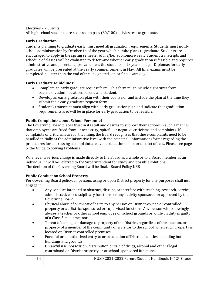## Electives – 7 Credits

All high school students are required to pass (60/100) a civics test to graduate.

## <span id="page-14-0"></span>**Early Graduation**

Students planning to graduate early must meet all graduation requirements. Students must notify school administration by October  $1<sup>st</sup>$  of the year which he/she plans to graduate. Students are encouraged to apply in the spring semester of his/her sophomore year. Student transcripts and schedule of classes will be evaluated to determine whether early graduation is feasible and requires administrative and parental approval unless the students is 18 years of age. Diplomas for early graduates will be presented at the yearly commencement in May. All final exams must be completed no later than the end of the designated senior final exam day.

## **Early Graduate Guidelines:**

- Complete an early graduate request form. This form must include signatures from counselor, administration, parent, and student.
- Develop an early gradation plan with their counselor and include the plan at the time they submit their early graduate request form.
- Student's transcript must align with early graduation plan and indicate that graduation requirements are/will be in place for early graduation to be feasible.

## <span id="page-14-1"></span>**Public Complaints about School Personnel**

The Governing Board places trust in its staff and desires to support their actions in such a manner that employees are freed from unnecessary, spiteful or negative criticisms and complaints. If complaints or criticisms are forthcoming, the Board recognizes that these complaints need to be handled initially at the administrative level with the principal. Information/forms regarding the procedures for addressing a complaint are available at the school or district offices. Please see page 5, the Guide to Solving Problems.

Whenever a serious charge is made directly to the Board as a whole or to a Board member as an individual, it will be referred to the Superintendent for study and possible solutions. The decision of the Governing Board will be final. Board Policy KEB

## <span id="page-14-2"></span>**Public Conduct on School Property**

Per Governing Board policy, all persons using or upon District property for any purposes shall not engage in:

- Any conduct intended to obstruct, disrupt, or interfere with teaching, research, service, administrative or disciplinary functions, or any activity sponsored or approved by the Governing Board.
- Physical abuse of or threat of harm to any person on District-owned or controlled property or at District-sponsored or supervised functions. Any person who knowingly abuses a teacher or other school employee on school grounds or while on duty is guilty of a Class 3 misdemeanor.
- Threat of damage or damage to property of the District, regardless of the location, or property of a member of the community or a visitor to the school, when such property is located on District-controlled premises.
- Forceful or unauthorized entry to or occupation of District facilities, including both buildings and grounds.
- Unlawful use, possession, distribution or sale of drugs, alcohol and other illegal contraband on District property or at school-sponsored functions.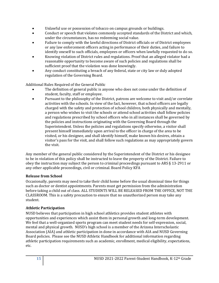- Unlawful use or possession of tobacco on campus grounds or buildings.
- Conduct or speech that violates commonly accepted standards of the District and which, under the circumstances, has no redeeming social value.
- Failure to comply with the lawful directions of District officials or of District employees or any law enforcement officers acting in performance of their duties, and failure to identify oneself to such officials, employees or officers when lawfully requested to do so.
- Knowing violation of District rules and regulations. Proof that an alleged violator had a reasonable opportunity to become aware of such policies and regulations shall be sufficient proof that the violation was done knowingly.
- Any conduct constituting a breach of any federal, state or city law or duly adopted regulation of the Governing Board.

Additional Rules Required of the General Public

- The definition of general public is anyone who does not come under the definition of student, faculty, staff or employee.
- Pursuant to the philosophy of the District, patrons are welcome to visit and/or correlate activities with the schools. In view of the fact, however, that school officers are legally charged with the safety and protection of school children, both physically and mentally, a person who wishes to visit the schools or attend school activities shall follow policies and regulations prescribed by school officers who in all instances shall be governed by the policies and instructions originating with the Governing Board through the Superintendent. Unless the policies and regulations specify otherwise, a visitor shall present himself immediately upon arrival to the officer in charge of the area to be visited, or his designee, and shall identify himself, make known his desires, obtain a visitor's pass for the visit, and shall follow such regulations as may appropriately govern the visit.

Any member of the general public considered by the Superintendent of the District or his designee to be in violation of this policy shall be instructed to leave the property of the District. Failure to obey the instruction may subject the person to criminal proceedings pursuant to ARS § 13-2911 or any other applicable proceedings, civil or criminal. Board Policy KFA

## <span id="page-15-0"></span>**Release from School**

Occasionally, parents may need to take their child home before the usual dismissal time for things such as doctor or dentist appointments. Parents must get permission from the administration before taking a child out of class. ALL STUDENTS WILL BE RELEASED FROM THE OFFICE, NOT THE CLASSROOM. This is a safety precaution to ensure that no unauthorized person may take any student.

## <span id="page-15-1"></span>**Athletic Participation**

NUSD believes that participation in high school athletics provides student athletes with opportunities and experiences which assist them in personal growth and long-term development. We feel that a well-organized sports program can meet student needs for self-expression, social, mental and physical growth. NUSD's high school is a member of the Arizona Interscholastic Association (AIA) and athletic participation in done in accordance with AIA and NUSD Governing Board policies. Please see the NUSD Athletic Handbook for additional information regarding athletic participation requirements such as academic, enrollment, medical eligibility, expectations, etc.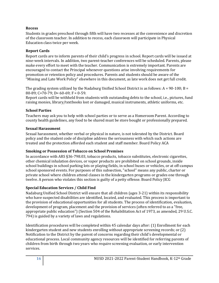## <span id="page-16-0"></span>**Recess**

Students in grades preschool through fifth will have two recesses at the convenience and discretion of the classroom teacher. In addition to recess, each classroom will participate in Physical Education class twice per week.

## <span id="page-16-1"></span>**Report Cards**

Report cards are to inform parents of their child's progress in school. Report cards will be issued at nine-week intervals. In addition, two parent-teacher conferences will be scheduled. Parents, please make every effort to meet with the teacher. Communication is extremely important. Parents are encouraged to contact the Principal whenever questions arise involving requirements for promotion or retention policy and procedures. Parents and students should be aware of the "Missing and Late Work Policy" elsewhere in this document, as late work does not get full credit.

The grading system utilized by the Nadaburg Unified School District is as follows:  $A = 90-100$ ;  $B =$ 80-89; C=70-79; D= 60-69; F = 0-59.

Report cards will be withheld from students with outstanding debts to the school, i.e., pictures, fund raising monies, library/textbooks lost or damaged, musical instruments, athletic uniforms, etc.

## <span id="page-16-2"></span>**School Parties**

Teachers may ask you to help with school parties or to serve as a Homeroom Parent. According to county health guidelines, any food to be shared must be store bought or professionally prepared.

## <span id="page-16-3"></span>**Sexual Harassment**

Sexual harassment, whether verbal or physical in nature, is not tolerated by the District. Board policy and the student code of discipline address the seriousness with which such actions are treated and the protection afforded each student and staff member. Board Policy ACA

## <span id="page-16-4"></span>**Smoking or Possession of Tobacco on School Premises**

In accordance with ARS §36-798.03, tobacco products, tobacco substitutes, electronic cigarettes, other chemical inhalation devices, or vapor products are prohibited on school grounds, inside school buildings in school parking lots or playing fields, in school buses or vehicles, or at off-campus school sponsored events. For purposes of this subsection, "school" means any public, charter or private school where children attend classes in the kindergarten programs or grades one through twelve. A person who violates this section is guilty of a petty offense. Board Policy JICG

## <span id="page-16-5"></span>**Special Education Services / Child Find**

Nadaburg Unified School District will ensure that all children (ages 3-21) within its responsibility who have suspected disabilities are identified, located, and evaluated. This process is important to the provision of educational opportunities for all students. The process of identification, evaluation, development of program, placement and the provision of services (often referred to as a "free, appropriate public education") (Section 504 of the Rehabilitation Act of 1973, as amended, 29 U.S.C. 794) is guided by a variety of laws and regulations.

Identification procedures will be completed within 45 calendar days after: (1) Enrollment for each kindergarten student and new students enrolling without appropriate screening records; or (2) Notification to the District by the parent of concerns regarding their child's developmental or educational process. Local community agency resources will be identified for referring parents of children from birth through two years who require screening evaluation, or early intervention services.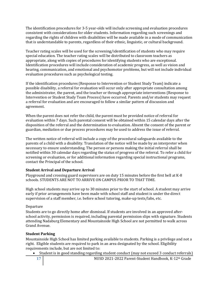The identification procedures for 3-5 year-olds will include screening and evaluation procedures consistent with considerations for older students. Information regarding such screenings and regarding the rights of children with disabilities will be made available in a mode of communication that is understandable to parents, regardless of their ethnic, linguistic, or cultural background.

Teacher rating scales will be used for the screening/identification of students who may require special education. The teacher rating scales will be distributed to classroom teachers as appropriate, along with copies of procedures for identifying students who are exceptional. Identification procedures will include consideration of academic progress, as well as vision and hearing, communication, and emotional and psychomotor problems, but will not include individual evaluation procedures such as psychological testing.

If the identification procedures (Response to Intervention or Student Study Team) indicate a possible disability, a referral for evaluation will occur only after appropriate consultation among the administrator, the parent, and the teacher or through appropriate interventions (Response to Intervention or Student Study Team Process) have occurred. Parents and/or students may request a referral for evaluation and are encouraged to follow a similar pattern of discussion and agreement.

When the parent does not refer the child, the parent must be provided notice of referral for evaluation within 7 days. Such parental consent will be obtained within 15 calendar days after the disposition of the referral and the determination to evaluation. Absent the consent of the parent or guardian, mediation or due process procedures may be used to address the issue of referral.

The written notice of referral will include a copy of the procedural safeguards available to the parents of a child with a disability. Translation of the notice will be made by an interpreter when necessary to ensure understanding. The person or persons making the initial referral shall be notified within 30 calendar days regarding the status of progress of the referral. To refer a child for screening or evaluation, or for additional information regarding special instructional programs, contact the Principal of the school.

## <span id="page-17-0"></span>**Student Arrival and Departure Arrival**

Playground and crossing guard supervisors are on duty 15 minutes before the first bell at K-8 schools. STUDENTS ARE NOT TO ARRIVE ON CAMPUS PRIOR TO THAT TIME.

High school students may arrive up to 30 minutes prior to the start of school. A student may arrive early if prior arrangements have been made with school staff and student is under the direct supervision of a staff member, i.e. before school tutoring, make-up tests/labs, etc.

## Departure

Students are to go directly home after dismissal. If students are involved in an approved afterschool activity, permission is required, including parental permission slips with signature. Students attending Nadaburg Elementary and Mountainside High School are not permitted to walk across Grand Avenue.

## <span id="page-17-1"></span>**Student Parking**

Mountainside High School has limited parking available to students. Parking is a privilege and not a right. Eligible students are required to park in an area designated by the school. Eligibility requirements include, but are not limited to:

• Student is in good standing regarding student conduct (may not exceed 3 conduct referrals)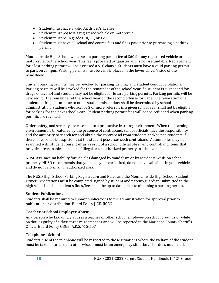- Student must have a valid AZ driver's license
- Student must possess a registered vehicle or motorcycle
- Student must be in grades 10, 11, or 12
- Student must have all school and course fees and fines paid prior to purchasing a parking permit

Mountainside High School will assess a parking permit fee of \$60 for any registered vehicle or motorcycle for the school year. This fee is prorated by quarter and is non-refundable. Replacement for a lost parking permit will be assessed a \$10 charge. Students must have a valid parking permit to park on campus. Parking permits must be visibly placed in the lower driver's side of the windshield.

Student parking permits may be revoked for parking, driving, and student conduct violations. Parking permits will be revoked for the remainder of the school year if a student is suspended for drugs or alcohol and student may not be eligible for future parking permits. Parking permits will be revoked for the remainder of the school year on the second offense for vape. The revocation of a student parking permit due to other student misconduct shall be determined by school administration. Students who accrue 3 or more referrals in a given school year shall not be eligible for parking for the next school year. Student parking permit fees will *not* be refunded when parking permits are revoked.

Order, safety, and security are essential to a productive learning environment. When the learning environment is threatened by the presence of contraband, school officials have the responsibility and the authority to search for and obtain the contraband from students and/or non-students if there is reasonable suspicion that the student possesses such contraband. Automobiles may be searched with student consent **or** as a result of a school official observing contraband items that provide a reasonable suspicion of illegal or unauthorized property inside a vehicle.

NUSD assumes **no** liability for vehicles damaged by vandalism or by accidents while on school property. NUSD recommends that you keep your car locked, do not leave valuables in your vehicle, and do not park in an unauthorized area.

The NUSD High School Parking Registration and Rules and the Mountainside High School Student Driver Expectations must be completed, signed by student and parent/guardian, submitted to the high school, and all student's fines/fees must be up to date prior to obtaining a parking permit.

## <span id="page-18-0"></span>**Student Publications**

Students shall be required to submit publications to the administration for approval prior to publication or distribution. Board Policy JICE, JICEC

## <span id="page-18-1"></span>**Teacher or School Employee Abuse**

Any person who knowingly abuses a teacher or other school employee on school grounds or while on duty is guilty of a class three misdemeanor and will be reported to the Maricopa County Sheriff's Office. Board Policy GBGB; A.R.S. §15-507

## <span id="page-18-2"></span>**Telephone - School**

Students' use of the telephone will be restricted to those situations where the welfare of the student must be taken into account; otherwise, it must be an emergency situation. This does not include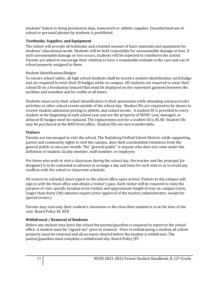students' failure to bring permission slips, homework or athletic supplies. Unauthorized use of school or personal phones by students is prohibited.

## <span id="page-19-0"></span>**Textbooks, Supplies, and Equipment**

The school will provide all textbooks and a limited amount of basic materials and equipment for students' educational needs. Students will be held responsible for unreasonable damage or loss. If such unreasonable damage or loss occurs, students will be expected to reimburse the school. Parents are asked to encourage their children to have a responsible attitude in the care and use of school property assigned to them.

## <span id="page-19-1"></span>Student Identification/Badges

To ensure school safety, all high school students shall be issued a student identification card/badge and are required to wear their ID badges while on campus. All students are required to wear their school ID on a breakaway lanyard that must be displayed on the outermost garment between the neckline and waistline and be visible at all times.

Students must carry their school identification in their possession while attending extracurricular activities or other school events outside of the school day. Student IDs are required to be shown to receive student admission pricing to athletic and school events. A student ID is provided to every student at the beginning of each school year and are the property of NUSD. Lost, damaged, or defaced ID badges must be replaced. The replacement cost for a student ID is \$5.00. Student IDs may be purchased at the MHS front office. Student IDs are non-transferrable.

## <span id="page-19-2"></span>**Visitors**

Parents are encouraged to visit the school. The Nadaburg Unified School District, while supporting parent and community rights to visit the campus, does limit unscheduled visitations from the general public to once per month. The "general public" is anyone who does not come under the definition of student, faculty member, staff member, or employee.

For those who wish to visit a classroom during the school day, the teacher and the principal (or designee) is to be contacted in advance to arrange a day and time for such visit so as to avoid any conflicts with the school or classroom schedule.

All visitors to school(s) must report to the school office upon arrival. Visitors to the campus will sign in with the front office and obtain a visitor's pass. Each visitor will be required to state the purpose of visit, specific location to be visited, and approximate length of stay on campus (visits longer than thirty (30) minutes require prior approval of the teacher/administrator, except for special events.)

Parents may visit only their student's classroom or the class their student is in at the time of the visit. Board Policy KI, KFA

## <span id="page-19-3"></span>**Withdrawal / Removal of Students**

Before any student may leave the school the parent/guardian is required to report to the school office. A student must be "signed out" prior to removal. Prior to withdrawing a student all school property must be returned and all accounts cleared before the student is withdrawn. The parent/guardian must complete a withdrawal slip. Board Policy JFC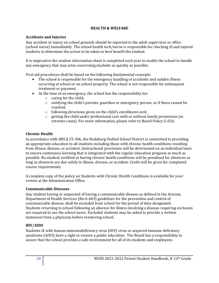## **HEALTH & WELFARE**

## <span id="page-20-1"></span><span id="page-20-0"></span>**Accidents and Injuries**

Any accident or injury on school grounds should be reported to the adult supervisor or office (school nurse) immediately. The school health tech/nurse is responsible for checking ill and injured students to determine the action to be taken to best benefit the student.

It is imperative the student information sheet is completed each year to enable the school to handle any emergency that may arise concerning students as quickly as possible.

First aid procedures shall be based on the following fundamental concepts:

- The school is responsible for the emergency handling of accidents and sudden illness occurring at school or on school property. The school is not responsible for subsequent treatment or payment.
- At the time of an emergency, the school has the responsibility for:
	- o caring for the child;
		- $\circ$  notifying the child's parents, guardian or emergency person, or if these cannot be reached;
		- o following directions given on the child's enrollment card;
		- $\circ$  getting the child under professional care with or without family permission (in extreme cases). For more information, please refer to Board Policy G-026.

## <span id="page-20-2"></span>**Chronic Health**

In accordance with ARS § 15-346, the Nadaburg Unified School District is committed to providing an appropriate education to all students including those with chronic health conditions resulting from illness, disease, or accident. Instructional provisions will be determined on an individual basis to ensure continuous learning that is integrated with the regular education program as much as possible. No student certified as having chronic health conditions will be penalized for absences as long as absences are due solely to illness, disease, or accident. Credit will be given for completed course requirements.

A complete copy of the policy on Students with Chronic Health Conditions is available for your review at the Administration Office.

## <span id="page-20-3"></span>**Communicable Diseases**

Any student having or suspected of having a communicable disease as defined in the Arizona Department of Health Services (Rn-6-603) guidelines for the prevention and control of communicable disease, shall be excluded from school for the period of time designated. Students returning to school following an absence for illness involving a disease requiring exclusion are required to see the school nurse. Excluded students may be asked to provide a written statement from a physician before reentering school.

## <span id="page-20-4"></span>**HIV/AIDS**

Students ill with human immunodeficiency virus (HIV) virus or acquired immune deficiency syndrome (AIDS) have a right to receive a public education. The Board has a responsibility to assure that the school provides a safe environment for all of its students and employees.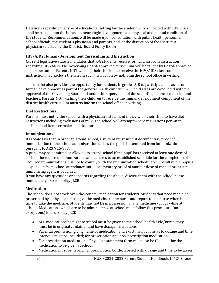Decisions regarding the type of educational setting for the student who is infected with HIV virus shall be based upon the behavior, neurologic development, and physical and mental condition of the student. Recommendations will be made upon consultation with public health personnel, school officials, the student's physician and parents, and, at the discretion of the District, a physician selected by the District. Board Policy JLCCA

## <span id="page-21-0"></span>**HIV/AIDS Human/Development Curriculum and Instruction**

Current legislative statute mandates that K-8 students receive formal classroom instruction regarding HIV/AIDS. The Governing Board-approved curriculum will be taught by Board-approved school personnel. Parents NOT wishing their children to receive the HIV/AIDS classroom instruction may exclude them from such instruction by notifying the school office in writing.

The district also provides the opportunity for students in grades 5-8 to participate in classes on human development as part of the general health curriculum. Such classes are conducted with the approval of the Governing Board and under the supervision of the school's guidance counselor and teachers. Parents NOT wishing their children to receive the human development component of the district health curriculum must so inform the school office in writing.

## <span id="page-21-1"></span>**Diet Restrictions**

Parents must notify the school with a physician's statement if they wish their child to have diet restrictions including exclusions of milk. The school will attempt where regulations permit to exclude food items or make substitutions.

## <span id="page-21-2"></span>**Immunizations**

It is State law that in order to attend school, a student must submit documentary proof of immunization to the school administration unless the pupil is exempted from immunization pursuant to ARS § 15-873.

A pupil may be admitted or allowed to attend school if the pupil has received at least one dose of each of the required immunizations and adheres to an established schedule for the completion of required immunizations. Failure to comply with the immunization schedule will result in the pupil's suspension from school attendance until documentary proof of another dose of each appropriate immunizing agent is provided.

If you have any questions or concerns regarding the above, discuss them with the school nurse immediately. Board Policy JLCB

## <span id="page-21-3"></span>**Medication**

The school does not stock over-the-counter medication for students. Students that need medicine prescribed by a physician must give the medicine to the nurse and report to the nurse when it is time to take the medicine. Students may not be in possession of any medicines/drugs while at school. Medications which are to be administered at school must follow this procedure (no exceptions) Board Policy JLCD

- ALL medications brought to school must be given to the school health aide/nurse; they must be in original container and have dosage instructions.
- Parental permission giving name of medication and exact instructions as to dosage and time intervals must be included; for prescription and non-prescription medication.
- For prescription medication a Physician statement form must also be filled out for the medication to be given at school.
- Medication must be in original prescription bottle, labeled with dosage and time to be given.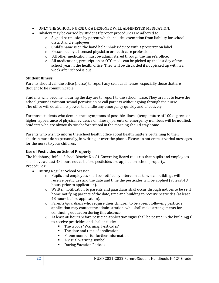- ONLY THE SCHOOL NURSE OR A DESIGNEE WILL ADMINISTER MEDICATION.
- Inhalers may be carried by student If proper procedures are adhered to:
	- $\circ$  Signed permission by parent which includes exemption from liability for school district and employees
	- o Child's name is on the hand held inhaler device with a prescription label
	- o Prescribed by a licensed physician or heath care professional
	- o All other medication must be administered through the nurse's office.
	- o All medications, prescription or OTC meds can be picked up the last day of the school year in the health office. They will be discarded if not picked up within a week after school is out.

## <span id="page-22-0"></span>**Student Illness**

Parents should call the office (nurse) to report any serious illnesses, especially those that are thought to be communicable.

Students who become ill during the day are to report to the school nurse. They are not to leave the school grounds without school permission or call parents without going through the nurse. The office will do all in its power to handle any emergency quickly and effectively.

For those students who demonstrate symptoms of possible illness (temperature of 100 degrees or higher, appearance of physical evidence of illness), parents or emergency numbers will be notified. Students who are obviously sick before school in the morning should stay home.

Parents who wish to inform the school health office about health matters pertaining to their children must do so personally, in writing or over the phone. Please do not entrust verbal messages for the nurse to your children.

## <span id="page-22-1"></span>**Use of Pesticides on School Property**

The Nadaburg Unified School District No. 81 Governing Board requires that pupils and employees shall have at least 48 hours notice before pesticides are applied on school property. Procedures:

- During Regular School Session
	- $\circ$  Pupils and employees shall be notified by intercom as to which buildings will receive pesticides and the date and time the pesticides will be applied (at least 48 hours prior to application).
	- $\circ$  Written notification to parents and guardians shall occur through notices to be sent home notifying parents of the date, time and building to receive pesticides (at least 48 hours before application).
	- o Parents/guardians who require their children to be absent following pesticide application may contact the administration, who shall make arrangements for continuing education during this absence.
	- $\circ$  At least 48 hours before pesticide application signs shall be posted in the building(s) to receive pesticides and shall include:
		- The words "Warning: Pesticides"
		- The date and time of application
		- Phone number for further information
		- A visual warning symbol
		- During Vacation Periods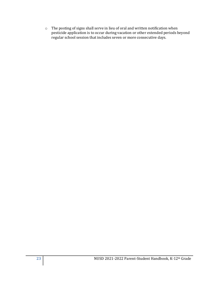o The posting of signs shall serve in lieu of oral and written notification when pesticide application is to occur during vacation or other extended periods beyond regular school session that includes seven or more consecutive days.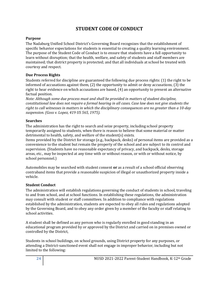# **STUDENT CODE OF CONDUCT**

## <span id="page-24-1"></span><span id="page-24-0"></span>**Purpose**

The Nadaburg Unified School District's Governing Board recognizes that the establishment of specific behavior expectations for students is essential to creating a quality learning environment. The purpose of the Student Code of Conduct is to ensure that students have a full opportunity to learn without disruption; that the health, welfare, and safety of students and staff members are maintained; that district property is protected; and that all individuals at school be treated with courtesy and respect.

## <span id="page-24-2"></span>**Due Process Rights**

Students referred for discipline are guaranteed the following due process rights: (1) the right to be informed of accusations against them, (2) the opportunity to admit or deny accusations, (3) the right to hear evidence on which accusations are based, (4) an opportunity to present an alternative factual position.

*Note: Although some due process must and shall be provided in matters of student discipline, constitutional law does not require a formal hearing in all cases. Case law does not give students the right to call witnesses in matters in which the disciplinary consequences are no greater than a 10-day suspension. (Goss v. Lopez, 419 US 565, 1975).*

## <span id="page-24-3"></span>**Searches**

The administration has the right to search and seize property, including school property temporarily assigned to students, when there is reason to believe that some material or matter detrimental to health, safety, and welfare of the student(s) exists.

Items provided by the District for storage (e.g., backpack, desks) of personal items are provided as a convenience to the student but remain the property of the school and are subject to its control and supervision. (Students have no reasonable expectancy of privacy, and backpack, desks, storage areas, etc., may be inspected at any time with or without reason, or with or without notice, by school personnel.)

Automobiles may be searched with student consent **or** as a result of a school official observing contraband items that provide a reasonable suspicion of illegal or unauthorized property inside a vehicle.

## <span id="page-24-4"></span>**Student Conduct**

The administration will establish regulations governing the conduct of students in school, traveling to and from school, and at school functions. In establishing these regulations, the administration may consult with student or staff committees. In addition to compliance with regulations established by the administration, students are expected to obey all rules and regulations adopted by the Governing Board, and to obey any order given by a member of the faculty or staff relating to school activities.

A student shall be defined as any person who is regularly enrolled in good standing in an educational program provided by or approved by the District and carried on in premises owned or controlled by the District,

Students in school buildings, on school grounds, using District property for any purposes, or attending a District-sanctioned event shall not engage in improper behavior, including but not limited to the following: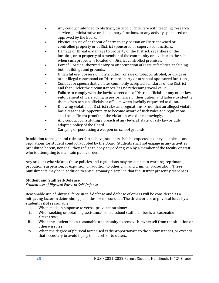- Any conduct intended to obstruct, disrupt, or interfere with teaching, research, service, administrative or disciplinary functions, or any activity sponsored or approved by the Board.
- Physical abuse of or threat of harm to any person on District owned or controlled property or at District sponsored or supervised functions.
- Damage or threat of damage to property of the District, regardless of the location, or to property of a member of the community or a visitor to the school, when such property is located on District controlled premises.
- Forceful or unauthorized entry to or occupation of District facilities, including both buildings and grounds.
- Unlawful use, possession, distribution, or sale of tobacco, alcohol, or drugs or other illegal contraband on District property or at school-sponsored functions,
- Conduct or speech that violates commonly accepted standards of the District and that, under the circumstances, has no redeeming social value.
- Failure to comply with the lawful directions of District officials or any other law enforcement officers acting in performance of their duties, and failure to identify themselves to such officials or officers when lawfully requested to do so.
- Knowing violation of District rules and regulations. Proof that an alleged violator has a reasonable opportunity to become aware of such rules and regulations shall be sufficient proof that the violation was done knowingly.
- Any conduct constituting a breach of any federal, state, or city law or duly adopted policy of the Board.
- Carrying or possessing a weapon on school grounds.

In addition to the general rules set forth above, students shall be expected to obey all policies and regulations for student conduct adopted by the Board. Students shall not engage in any activities prohibited herein, nor shall they refuse to obey any order given by a member of the faculty or staff who is attempting to maintain public order.

Any student who violates these policies and regulations may be subject to warning, reprimand, probation, suspension, or expulsion, in addition to other civil and criminal prosecution. These punishments may be in addition to any customary discipline that the District presently dispenses.

## **Student and Staff Self-Defense**

*Student use of Physical Force in Self-Defense*

Reasonable use of physical force in self-defense and defense of others will be considered as a mitigating factor in determining penalties for misconduct. The threat or use of physical force by a student is **not** reasonable:

- i. When made in response to verbal provocation alone;
- ii. When seeking or obtaining assistance from a school staff member is a reasonable alternative;
- iii. When the student has a reasonable opportunity to remove him/herself from the situation or otherwise flee;
- iv. When the degree of physical force used is disproportionate to the circumstances, or exceeds that necessary to avoid injury to oneself or to others.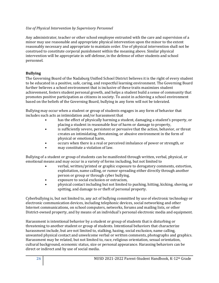## *Use of Physical Intervention by Supervisory Personnel*

Any administrator, teacher or other school employee entrusted with the care and supervision of a minor may use reasonable and appropriate physical intervention upon the minor to the extent reasonably necessary and appropriate to maintain order. Use of physical intervention shall not be construed to constitute corporal punishment within the meaning above. Similar physical intervention will be appropriate in self-defense, in the defense of other students and school personnel.

## <span id="page-26-0"></span>**Bullying**

The Governing Board of the Nadaburg Unified School District believes it is the right of every student to be educated in a positive, safe, caring, and respectful learning environment. The Governing Board further believes a school environment that is inclusive of these traits maximizes student achievement, fosters student personal growth, and helps a student build a sense of community that promotes positive participation as citizens in society. To assist in achieving a school environment based on the beliefs of the Governing Board, bullying in any form will not be tolerated.

Bullying may occur when a student or group of students engages in any form of behavior that includes such acts as intimidation and/or harassment that

- has the effect of physically harming a student, damaging a student's property, or placing a student in reasonable fear of harm or damage to property,
- is sufficiently severe, persistent or pervasive that the action, behavior, or threat creates an intimidating, threatening, or abusive environment in the form of physical or emotional harm,
- occurs when there is a real or perceived imbalance of power or strength, or
- may constitute a violation of law.

Bullying of a student or group of students can be manifested through written, verbal, physical, or emotional means and may occur in a variety of forms including, but not limited to

- verbal, written/printed or graphic exposure to derogatory comments, extortion, exploitation, name calling, or rumor spreading either directly through another person or group or through cyber bullying,
- exposure to social exclusion or ostracism,
- physical contact including but not limited to pushing, hitting, kicking, shoving, or spitting, and damage to or theft of personal property.

Cyberbullying is, but not limited to, any act of bullying committed by use of electronic technology or electronic communication devices, including telephonic devices, social networking and other Internet communications, on school computers, networks, forums and mailing lists, or other District-owned property, and by means of an individual's personal electronic media and equipment.

Harassment is intentional behavior by a student or group of students that is disturbing or threatening to another student or group of students. Intentional behaviors that characterize harassment include, but are not limited to, stalking, hazing, social exclusion, name calling, unwanted physical contact and unwelcome verbal or written comments, photographs and graphics. Harassment may be related, but not limited to, race, religious orientation, sexual orientation, cultural background, economic status, size or personal appearance. Harassing behaviors can be direct or indirect and by use of social media.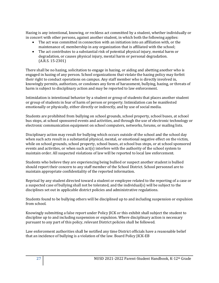Hazing is any intentional, knowing, or reckless act committed by a student, whether individually or in concert with other persons, against another student, in which both the following applies:

- The act was committed in connection with an initiation into an affiliation with, or the maintenance of, membership in any organization that is affiliated with the school;
- The act contributes to a substantial risk of potential physical injury, mental harm or degradation, or causes physical injury, mental harm or personal degradation. (A.R.S. 15-2301)

There shall be no hazing, solicitation to engage in hazing, or aiding and abetting another who is engaged in hazing of any person. School organizations that violate the hazing policy may forfeit their right to conduct operations on campus. Any staff member who is directly involved in, knowingly permits, authorizes, or condones any form of harassment, bullying, hazing, or threats of harm is subject to disciplinary action and may be reported to law enforcement.

Intimidation is intentional behavior by a student or group of students that places another student or group of students in fear of harm of person or property. Intimidation can be manifested emotionally or physically, either directly or indirectly, and by use of social media.

Students are prohibited from bullying on school grounds, school property, school buses, at school bus stops, at school sponsored events and activities, and through the use of electronic technology or electronic communication equipment on school computers, networks, forums, or mailing lists.

Disciplinary action may result for bullying which occurs outside of the school and the school day when such acts result in a substantial physical, mental, or emotional negative effect on the victim, while on school grounds, school property, school buses, at school bus stops, or at school sponsored events and activities, or when such act(s) interfere with the authority of the school system to maintain order. All suspected violations of law will be reported to local law enforcement.

Students who believe they are experiencing being bullied or suspect another student is bullied should report their concern to any staff member of the School District. School personnel are to maintain appropriate confidentiality of the reported information.

Reprisal by any student directed toward a student or employee related to the reporting of a case or a suspected case of bullying shall not be tolerated, and the individual(s) will be subject to the disciplines set out in applicable district policies and administrative regulations.

Students found to be bullying others will be disciplined up to and including suspension or expulsion from school.

Knowingly submitting a false report under Policy JICK or this exhibit shall subject the student to discipline up to and including suspension or expulsion. Where disciplinary action is necessary pursuant to any part of this policy, relevant District policies shall be followed.

Law enforcement authorities shall be notified any time District officials have a reasonable belief that an incidence of bullying is a violation of the law. Board Policy JICK-EB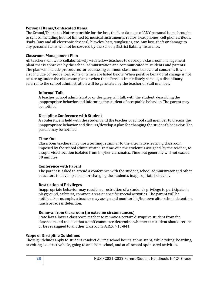## **Personal Items/Confiscated Items**

The School/District is **Not** responsible for the loss, theft, or damage of ANY personal items brought to school, including but not limited to, musical instruments, radios, headphones, cell phones, iPods, iPads, (any and all electronic devices), bicycles, hats, sunglasses, etc. Any loss, theft or damage to any personal items will not be covered by the School/District liability insurance.

#### **Classroom Management Plan**

All teachers will work collaboratively with fellow teachers to develop a classroom management plant that is approved by the school administration and communicated to students and parents. The plan will include procedures for addressing common classroom behavioral concerns. It will also include consequences, some of which are listed below. When positive behavioral change is not occurring under the classroom plan or when the offense is immediately serious, a disciplinary referral to the school administration will be generated by the teacher or staff member.

#### **Informal Talk**

A teacher, school administrator or designee will talk with the student, describing the inappropriate behavior and informing the student of acceptable behavior. The parent may be notified.

## **Discipline Conference with Student**

A conference is held with the student and the teacher or school staff member to discuss the inappropriate behavior and discuss/develop a plan for changing the student's behavior. The parent may be notified.

#### **Time-Out**

Classroom teachers may use a technique similar to the alternative learning classroom imposed by the school administrator. In time-out, the student is assigned, by the teacher, to a supervised location isolated from his/her classmates. Time-out generally will not exceed 30 minutes.

#### **Conference with Parent**

The parent is asked to attend a conference with the student, school administrator and other educators to develop a plan for changing the student's inappropriate behavior.

## **Restriction of Privileges**

Inappropriate behavior may result in a restriction of a student's privilege to participate in playground, cafeteria, common areas or specific special activities. The parent will be notified. For example, a teacher may assign and monitor his/her own after school detention, lunch or recess detention.

## **Removal from Classroom (in extreme circumstances)**

State law allows a classroom teacher to remove a certain disruptive student from the classroom and request that a staff committee determine whether the student should return or be reassigned to another classroom. A.R.S. § 15-841

#### <span id="page-28-0"></span>**Scope of Discipline Guidelines**

These guidelines apply to student conduct during school hours, at bus stops, while riding, boarding, or exiting a district vehicle, going to and from school, and at all school-sponsored activities.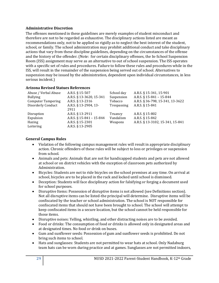## <span id="page-29-0"></span>**Administrative Discretion**

The offenses mentioned in these guidelines are merely examples of student misconduct and therefore are not to be regarded as exhaustive. The disciplinary actions listed are meant as recommendations only, not to be applied so rigidly as to neglect the best interest of the student, school, or family. The school administration may prohibit additional conduct and take disciplinary actions that vary from these discipline guidelines, depending on the circumstances of the offense and the history of the offender. (Note: for certain disciplinary offenses, the In-School Suspension Room (ISS) assignment may serve as an alternative to out of school suspension. The ISS operates with a specific set of rules and procedures. Failure to follow these rules and procedures while in the ISS, will result in the remainder of the suspension being served out of school. Alternatives to suspension may be issued by the administration, dependent upon individual circumstances, in less serious incident.)

## <span id="page-29-1"></span>**Arizona Revised Statues References**

| Abuse / Verbal Abuse      | A.R.S. § 15-507          | School day  | A.R.S. § 15-341, 15-901          |
|---------------------------|--------------------------|-------------|----------------------------------|
| <b>Bullying</b>           | A.R.S. § 13-3620, 15-341 | Suspension  | A.R.S. § 15-841 - 15-844         |
| <b>Computer Tampering</b> | A.R.S. § 13-2316         | Tobacco     | A.R.S. § 36-798, 15-341, 13-3622 |
| Disorderly Conduct        | A.R.S. § 13-2904, 13-    | Trespassing | A.R.S. § 15-841                  |
|                           | 2911                     |             |                                  |
| Disruption                | A.R.S. § 13-2911         | Truancy     | A.R.S. § 15-802                  |
| Expulsion                 | A.R.S. § 15-841 - 15-844 | Vandalism   | A.R.S. § 15-842                  |
| Hazing                    | A.R.S. § 15-2301         | Weapons     | A.R.S. § 13-3102, 15-341, 15-841 |
| Loitering                 | A.R.S. § 13-2905         |             |                                  |

## <span id="page-29-2"></span>**General Campus Rules**

- Violation of the following campus management rules will result in appropriate disciplinary action. Chronic offenders of these rules will be subject to loss or privileges or suspension from school.
- Animals and pets: Animals that are not for handicapped students and pets are not allowed at school or on district vehicles with the exception of classroom pets authorized by Administration.
- Bicycles: Students are not to ride bicycles on the school premises at any time. On arrival at school, bicycles are to be placed in the rack and locked until school is dismissed.
- Deception: Students will face disciplinary action for falsifying or forging a document used for school purposes.
- Disruptive Items: Possession of disruptive items is not allowed (see Definitions section). Not all disruptive items can be listed-the principal will determine. Disruptive items will be confiscated by the teacher or school administration. The school is NOT responsible for confiscated items that should not have been brought to school. The school will attempt to keep confiscated items in a secure location, but the school cannot be held responsible for those items.
- Disruptive noises: Yelling, whistling, and other distracting noises are to be avoided.
- Food or drinks: The consumption of food or drinks is allowed only in designated areas and at designated times. No food or drink on buses.
- Gum and sunflower seeds: Possession of gum and sunflower seeds is prohibited. Do not bring such items to school.
- Hats and sunglasses: Students are not permitted to wear hats at school. Only Nadaburg team hats can be worn during practice and at games. Sunglasses are not permitted indoors,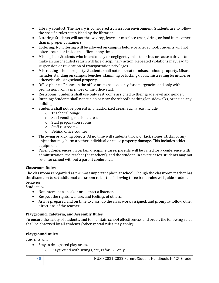- Library conduct: The library is considered a classroom environment. Students are to follow the specific rules established by the librarian.
- Littering: Students will not throw, drop, leave, or misplace trash, drink, or food items other than in proper containers.
- Loitering: No loitering will be allowed on campus before or after school. Students will not loiter around or inside the office at any time.
- Missing bus: Students who intentionally or negligently miss their bus or cause a driver to make an unscheduled return will face disciplinary action. Repeated violations may lead to suspension or revocation of transportation privileges.
- Mistreating school property: Students shall not mistreat or misuse school property. Misuse includes standing on campus benches, slamming or kicking doors, mistreating furniture, or otherwise abusing school property.
- Office phones: Phones in the office are to be used only for emergencies and only with permission from a member of the office staff.
- Restrooms: Students shall use only restrooms assigned to their grade level and gender.
- Running: Students shall not run on or near the school's parking lot, sidewalks, or inside any building.
- Students shall not be present in unauthorized areas. Such areas include:
	- o Teachers' lounge.
	- o Staff vending machine area.
	- o Staff preparation rooms.
	- o Staff restrooms.
	- o Behind office counter.
- Throwing or kicking objects: At no time will students throw or kick stones, sticks, or any object that may harm another individual or cause property damage. This includes athletic equipment
- Parent Conferences: In certain discipline cases, parents will be called for a conference with administration, the teacher (or teachers), and the student. In severe cases, students may not re-enter school without a parent conference.

## <span id="page-30-0"></span>**Classroom Rules**

The classroom is regarded as the most important place at school. Though the classroom teacher has the discretion to set additional classroom rules, the following three basic rules will guide student behavior:

Students will:

- Not interrupt a speaker or distract a listener.
- Respect the rights, welfare, and feelings of others.
- Arrive prepared and on time to class, do the class work assigned, and promptly follow other directions of the teacher.

## <span id="page-30-1"></span>**Playground, Cafeteria, and Assembly Rules**

To ensure the safety of students, and to maintain school effectiveness and order, the following rules shall be observed by all students (other special rules may apply):

## **Playground Rules**

Students will:

- Stay in designated play areas.
	- o Playground with swings, etc., is for K-5 only.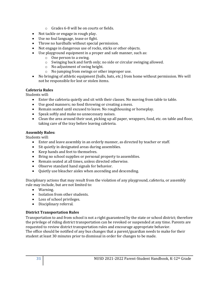- o Grades 6-8 will be on courts or fields.
- Not tackle or engage in rough play.
- Use no foul language, tease or fight.
- Throw no hardballs without special permission.
- Not engage in dangerous use of rocks, sticks or other objects.
- Use playground equipment in a proper and safe manner, such as:
	- o One person to a swing.
	- o Swinging back and forth only; no side or circular swinging allowed.
	- o No adjustment of swing height.
	- o No jumping from swings or other improper use.
- No bringing of athletic equipment (balls, bats, etc.) from home without permission. We will not be responsible for lost or stolen items.

## **Cafeteria Rules**

Students will:

- Enter the cafeteria quietly and sit with their classes. No moving from table to table.
- Use good manners; no food throwing or creating a mess.
- Remain seated until excused to leave. No roughhousing or horseplay.
- Speak softly and make no unnecessary noises.
- Clean the area around their seat, picking up all paper, wrappers, food, etc. on table and floor, taking care of the tray before leaving cafeteria.

## **Assembly Rules:**

Students will:

- Enter and leave assembly in an orderly manner, as directed by teacher or staff.
- Sit quietly in designated areas during assemblies.
- Keep hands and feet to themselves.
- Bring no school supplies or personal property to assemblies.
- Remain seated at all times, unless directed otherwise.
- Observe standard hand signals for behavior.
- Quietly use bleacher aisles when ascending and descending.

Disciplinary actions that may result from the violation of any playground, cafeteria, or assembly rule may include, but are not limited to:

- Warning.
- Isolation from other students.
- Loss of school privileges.
- Disciplinary referral.

## <span id="page-31-0"></span>**District Transportation Rules**

Transportation to and from school is not a right guaranteed by the state or school district; therefore the privilege of riding district transportation can be revoked or suspended at any time. Parents are requested to review district transportation rules and encourage appropriate behavior. The office should be notified of any bus changes that a parent/guardian needs to make for their student at least 30 minutes prior to dismissal in order for changes to be made.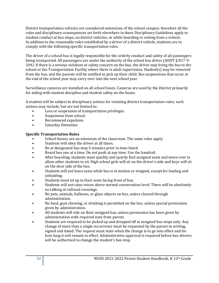District transportation vehicles are considered extensions of the school campus; therefore all the rules and disciplinary consequences set forth elsewhere in these Disciplinary Guidelines apply to student conduct at bus stops, on district vehicles, or while boarding or exiting from a vehicle. In addition to the reasonable rules established by a driver of a district vehicle, students are to comply with the following specific transportation rules.

The driver of a school bus is legally responsible for the orderly conduct and safety of all passengers being transported. All passengers are under the authority of the school bus driver (ADOT § R17-9- 104). If there is a serious violation or safety concern on the bus, the driver may bring the bus to the school or the Transportation Facility where there is adult supervision. Student(s) may be removed from the bus, and the parents will be notified to pick up their child. Bus suspensions that occur at the end of the school year may carry over into the next school year.

Surveillance cameras are installed on all school buses. Cameras are used by the District primarily for aiding with student discipline and student safety on the buses.

A student will be subject to disciplinary actions for violating district transportation rules; such actions may include, but are not limited to:

- Loss or suspension of transportation privileges.
- Suspension from school.
- Recommend expulsion.
- Saturday Detention

## **Specific Transportation Rules**

- School busses are an extension of the classroom. The same rules apply.
- Students will obey the driver at all times.
- Be at designated bus stop 5 minutes prior to time listed.
- Board bus one at a time. Do not push at any time. Use the handrail.
- After boarding, students must quickly and quietly find assigned seats and move over to allow other students to sit. High school girls will sit on the driver's side and boys will sit on the door side of the bus.
- Students will not leave seats while bus is in motion or stopped, except for loading and unloading.
- Students must sit up in their seats facing front of bus.
- Students will not raise voices above normal conversation level. There will be absolutely no talking at railroad crossings.
- No pets, animals, balloons, or glass objects on bus, unless cleared through administration,
- No food, gum chewing, or drinking is permitted on the bus, unless special permission given by administration.
- All students will ride on their assigned bus, unless permission has been given by administration with required note from parent.
- Students are required to be picked up and dropped off at assigned bus stops only. Any change of more than a single occurrence must be requested by the parent in writing, signed and dated. The request must state when the change is to go into effect and for how long it will remain in effect. Administrative approval is required before bus drivers will be authorized to change the student's bus stop.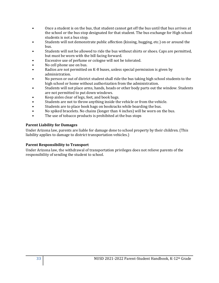- Once a student is on the bus, that student cannot get off the bus until that bus arrives at the school or the bus stop designated for that student. The bus exchange for High school students is not a bus stop.
- Students will not demonstrate public affection (kissing, hugging, etc.) on or around the bus.
- Students will not be allowed to ride the bus without shirts or shoes. Caps are permitted, but must be worn with the bill facing forward.
- Excessive use of perfume or cologne will not be tolerated.
- No cell phone use on bus.
- Radios are not permitted on K-8 buses, unless special permission is given by administration.
- No person or out of district student shall ride the bus taking high school students to the high school or home without authorization from the administration.
- Students will not place arms, hands, heads or other body parts out the window. Students are not permitted to put down windows.
- Keep aisles clear of legs, feet, and book bags.
- Students are not to throw anything inside the vehicle or from the vehicle.
- Students are to place book bags on bookracks while boarding the bus.
- No spiked bracelets. No chains (longer than 4 inches) will be worn on the bus.
- The use of tobacco products is prohibited at the bus stops

## **Parent Liability for Damages**

Under Arizona law, parents are liable for damage done to school property by their children. (This liability applies to damage to district transportation vehicles.)

## **Parent Responsibility to Transport**

Under Arizona law, the withdrawal of transportation privileges does not relieve parents of the responsibility of sending the student to school.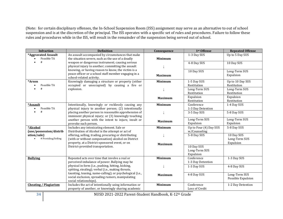(Note: for certain disciplinary offenses, the In-School Suspension Room (ISS) assignment may serve as an alternative to out of school suspension and is at the discretion of the principal. The ISS operates with a specific set of rules and procedures. Failure to follow these rules and procedures while in the ISS, will result in the remainder of the suspension being served out of school.

| <b>Infraction</b>            | <b>Definition</b>                                                                | Consequence    | 1 <sup>st</sup> Offense | <b>Repeated Offense</b> |
|------------------------------|----------------------------------------------------------------------------------|----------------|-------------------------|-------------------------|
| *Aggravated Assault          | An assault accompanied by circumstances that make                                |                | 1-3 Day SUS             | Up to 5 Day SUS         |
| Possible TA                  | the situation severe, such as the use of a deadly                                | <b>Minimum</b> |                         |                         |
| #                            | weapon or dangerous instrument; causing serious                                  |                | 4-8 Day SUS             | 10 Day SUS              |
|                              | physical injury to another; committing the assault                               |                |                         |                         |
|                              | knowing, or having reason to know, the victim is a                               |                | 10 Day SUS              | Long-Term SUS           |
|                              | peace officer or a school staff member engaging in a<br>school-related activity. | <b>Maximum</b> |                         | Expulsion               |
| *Arson                       | Knowingly damaging a structure or property (either                               | <b>Minimum</b> | 1-5 Day SUS             | Up to 10 Day SUS        |
| Possible TA                  | occupied or unoccupied) by causing a fire or                                     |                | Restitution             | Restitution             |
| #                            | explosion.                                                                       |                | Long-Term SUS           | Long-Term SUS           |
|                              |                                                                                  |                | Restitution             | Restitution             |
|                              |                                                                                  |                | Expulsion               | Expulsion               |
|                              |                                                                                  | <b>Maximum</b> | Restitution             | Restitution             |
| *Assault                     | Intentionally, knowingly or recklessly causing any                               | <b>Minimum</b> | Conference              | 1-4 Day SUS             |
| Possible TA                  | physical injury to another person; (2) intentionally                             |                | 1-3 Day Detention       |                         |
| #                            | placing another person in reasonable apprehension of                             |                | 3-5 Day SUS             | 5-8 Day SUS             |
|                              | imminent physical injury; or (3) knowingly touching                              |                |                         |                         |
|                              | another person with the intent to injure, insult or                              | <b>Maximum</b> | Long-Term SUS           | Long-Term SUS           |
|                              | provoke such person.                                                             |                | Expulsion               | Expulsion               |
| *Alcohol                     | Includes any intoxicating element. Sale or                                       | <b>Minimum</b> | Up to Four (4) Day SUS  | 5-8 Day SUS             |
| (use/possession/distrib      | Distribution of Alcohol is the attempt or act of                                 |                | w/Counseling            |                         |
| ution/sale)                  | offering, selling, trading, procuring or distributing                            |                | 5-8 Day SUS             | 10 Day SUS              |
| # Providing/Selling          | (with or without compensation) alcohol on District                               |                |                         | Long-Term SUS           |
|                              | property, at a District-sponsored event, or on                                   | <b>Maximum</b> |                         | Expulsion               |
|                              | District-provided transportation.                                                |                | 10 Day SUS              |                         |
|                              |                                                                                  |                | Long-Term SUS           |                         |
|                              |                                                                                  |                | Expulsion               |                         |
| <b>Bullying</b>              | Repeated acts over time that involve a real or                                   | <b>Minimum</b> | Conference              | 1-3 Day SUS             |
|                              | perceived imbalance of power. Bullying may be                                    |                | 1-3 Day Detention       |                         |
|                              | physical in form (i.e., pushing, hitting, kicking,                               |                | 1-3 Day SUS             | 4-8 Day SUS             |
|                              | spitting, stealing); verbal (i.e., making threats,                               |                |                         |                         |
|                              | taunting, teasing, name-calling); or psychological (i.e.,                        | <b>Maximum</b> | 4-8 Day SUS             | Long-Term SUS           |
|                              | social exclusion, spreading rumors, manipulating<br>social relationships).       |                |                         | Possible Expulsion      |
| <b>Cheating / Plagiarism</b> | Includes the act of intentionally using information or                           | <b>Minimum</b> | Conference              | 1-2 Day Detention       |
|                              | property of another, or knowingly sharing academic                               |                | Loss of Credit          |                         |
|                              |                                                                                  |                |                         |                         |

**34** NUSD 2021-2022 Parent-Student Handbook, K-12<sup>th</sup> Grade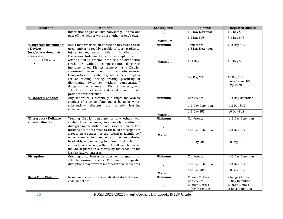| <b>Infraction</b>             | <b>Definition</b>                                                                                             | Consequence    | 1st Offense           | <b>Repeated Offense</b> |
|-------------------------------|---------------------------------------------------------------------------------------------------------------|----------------|-----------------------|-------------------------|
|                               | information to gain an unfair advantage. To steal and                                                         |                | 1-2 Day Detention     | 1-2 Day SUS             |
|                               | pass off the ideas or words of another as one's own.                                                          |                | 1-2 Day SUS           | 3-4 Day SUS             |
|                               |                                                                                                               | <b>Maximum</b> |                       |                         |
| *Dangerous Instruments        | Items that are used, attempted or threatened to be                                                            | <b>Minimum</b> | Conference            | 1 -3 Day SUS            |
| / Devices                     | used, and/or is readily capable of causing physical                                                           |                | 1-3 Day Detention     |                         |
| (use/possession/distrib       | injury to any person. Sale or Distribution of                                                                 |                |                       |                         |
| ution/sale)                   | Dangerous Instruments is the attempt or act of                                                                |                |                       |                         |
| Possible TA<br>$\bullet$<br># | offering, selling, trading, procuring or distributing<br>(with or without compensation) dangerous             | <b>Maximum</b> | 1-3 Day SUS           | 4-8 Day SUS             |
|                               | instruments on District property, at a District-<br>sponsored event, or on school-sponsored                   |                |                       |                         |
|                               | transportation. Distribution/Sale is the attempt or                                                           |                | 4-8 Day SUS           | 10 Day SUS              |
|                               | act of offering, selling, trading, procuring or<br>distributing (with or without compensation)                |                |                       | Long-Term SUS           |
|                               | dangerous instruments on District property, at a                                                              |                |                       | Expulsion               |
|                               | school or District-sponsored event or on District-                                                            |                |                       |                         |
|                               | provided transportation.                                                                                      |                |                       |                         |
| *Disorderly Conduct           | Any act which substantially disrupts the orderly                                                              | <b>Minimum</b> | Conference            | 1-3 Day Detention       |
|                               | conduct of a school function, or behavior which                                                               |                |                       |                         |
|                               | substantially<br>disrupts the orderly<br>learning                                                             |                | 1-3 Day Detention     | 1-3 Day SUS             |
|                               | environment.                                                                                                  |                |                       |                         |
|                               |                                                                                                               | <b>Maximum</b> | 1-3 Day SUS           | 10 Day SUS              |
| *Disrespect / Defiance        | Treating District personnel or any others with                                                                | <b>Minimum</b> | Conference            | 1-3 Day Detention       |
| /Insubordination              | contempt or rudeness; intentionally resisting or                                                              |                |                       |                         |
|                               | disregarding the authority of District personnel. This                                                        |                |                       |                         |
|                               | includes, but is not limited to, the failure to respond to                                                    |                | 1-3 Day Detention     | 1-3 Day SUS             |
|                               | a reasonable request, or the refusal to identify self<br>when requested to do so; being disobedient, refusing | <b>Maximum</b> |                       |                         |
|                               | to identify self, or failing to follow the directions of                                                      |                | 1-3 Day SUS           | 10 Day SUS              |
|                               | authority of a school, a District staff member or an                                                          |                |                       |                         |
|                               | individual placed in authority by the school or the                                                           |                |                       |                         |
|                               | District (i.e., volunteers).<br>Creating disturbances in class, on campus or at                               | <b>Minimum</b> | Conference            | 1-3 Day Detention       |
| <b>Disruption</b>             | school-sponsored events. Continual or repeated                                                                |                |                       |                         |
|                               | disruptions may warrant more severe consequences.                                                             |                | 1-3 Day Detention     | 1-3 Day SUS             |
|                               |                                                                                                               |                |                       |                         |
|                               |                                                                                                               | <b>Maximum</b> | 1-3 Day SUS           | 10 Day SUS              |
| <b>Dress Code Violation</b>   | Non-compliance with the established student dress                                                             | <b>Minimum</b> | <b>Change Clothes</b> | Change Clothes          |
|                               | code guidelines.                                                                                              |                | Conference            | 1 Day Detention         |
|                               |                                                                                                               |                | <b>Change Clothes</b> | <b>Change Clothes</b>   |
|                               |                                                                                                               |                | 1 Day Detention       | 2 Days Detention        |

**35** NUSD 2021-2022 Parent-Student Handbook, K-12th Grade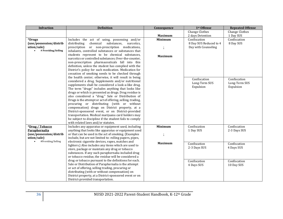| <b>Infraction</b>       | <b>Definition</b>                                                                                             | Consequence    | 1st Offense            | <b>Repeated Offense</b> |
|-------------------------|---------------------------------------------------------------------------------------------------------------|----------------|------------------------|-------------------------|
|                         |                                                                                                               |                | <b>Change Clothes</b>  | <b>Change Clothes</b>   |
|                         |                                                                                                               | <b>Maximum</b> | 2 days Detention       | 1 Day SUS               |
| <i><b>*Drugs</b></i>    | Includes the act of using, possessing and/or                                                                  | <b>Minimum</b> | Confiscation           | Confiscation            |
| (use/possession/distrib | distributing<br>chemical<br>substances,<br>narcotics,                                                         |                | 8 Day SUS Reduced to 4 | 8 Day SUS               |
| ution/sale)             | prescription or non-prescription medications,                                                                 |                | Day with Counseling    |                         |
| # Providing/Selling     | inhalants, controlled substances or substances that                                                           |                |                        |                         |
|                         | students represent to be chemical substances,                                                                 | <b>Maximum</b> |                        |                         |
|                         | narcotics or controlled substances. Over-the-counter,                                                         |                |                        |                         |
|                         | non-prescription pharmaceuticals fall into this                                                               |                |                        |                         |
|                         | definition, unless the student has complied with the                                                          |                |                        |                         |
|                         | District's policy for such medication. Medication for                                                         |                |                        |                         |
|                         | cessation of smoking needs to be checked through                                                              |                |                        |                         |
|                         | the health center; otherwise, it will result in being                                                         |                | Confiscation           | Confiscation            |
|                         | considered a drug. Supplements and/or nutritional<br>supplements shall be considered a look-a-like drug.      |                | Long-Term SUS          | Long-Term SUS           |
|                         | The term "drugs" includes anything that looks like                                                            |                | Expulsion              | Expulsion               |
|                         | drugs or which is presented as drugs. Drug residue is                                                         |                |                        |                         |
|                         | also considered a "drug." Sale or Distribution of                                                             |                |                        |                         |
|                         | Drugs is the attempt or act of offering, selling, trading,                                                    |                |                        |                         |
|                         | procuring or distributing (with or without                                                                    |                |                        |                         |
|                         | compensation) drugs on District property, at a                                                                |                |                        |                         |
|                         | District-sponsored event, or on District-provided                                                             |                |                        |                         |
|                         | transportation. Medical marijuana card holders may                                                            |                |                        |                         |
|                         | be subject to discipline if the student fails to comply                                                       |                |                        |                         |
|                         | with related laws and/or statutes.                                                                            |                |                        |                         |
| *Drug / Tobacco         | Includes any apparatus or equipment used, including                                                           | <b>Minimum</b> | Confiscation           | Confiscation            |
| Paraphernalia           | anything that looks like apparatus or equipment used                                                          |                | 1 Day SUS              | 2-3 Days SUS            |
| (use/possession/distrib | or that can be used in the act of smoking. (Examples                                                          |                |                        |                         |
| ution/sale)             | include, but are not limited to: rolling papers, pipes,                                                       |                |                        |                         |
| #Providing/Selling      | electronic cigarette devices, vapes, matches and                                                              | <b>Maximum</b> | Confiscation           | Confiscation            |
|                         | lighters.) Also includes any items which are used to                                                          |                | 2-3 Days SUS           | 4 Days SUS              |
|                         | store, package or maintain any drug or tobacco                                                                |                |                        |                         |
|                         | substances. If any such paraphernalia included drug                                                           |                |                        |                         |
|                         | or tobacco residue, the residue will be considered a                                                          |                |                        |                         |
|                         | drug or tobacco pursuant to the definitions for each.<br>Sale or Distribution of Paraphernalia is the attempt |                | Confiscation           | Confiscation            |
|                         | or act of offering, selling trading, procuring or                                                             |                | 4 Days SUS             | 10 Day SUS              |
|                         | distributing (with or without compensation) on                                                                |                |                        |                         |
|                         | District property, at a District-sponsored event or on                                                        |                |                        |                         |
|                         | District-provided transportation.                                                                             |                |                        |                         |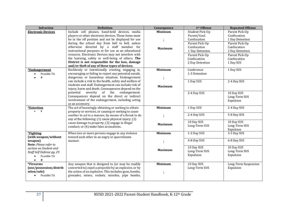| <b>Infraction</b>         | <b>Definition</b>                                       | Consequence    | 1st Offense     | <b>Repeated Offense</b> |
|---------------------------|---------------------------------------------------------|----------------|-----------------|-------------------------|
| <b>Electronic Devices</b> | Include cell phones, hand-held devices, media           | <b>Minimum</b> | Student Pick-Up | Parent Pick-Up          |
|                           | players or other electronic devices. These items must   |                | Parent/Conf.    | Confiscation            |
|                           | be in the off position and not be displayed for use     |                | Confiscation    | 1 Day Detention         |
|                           | during the school day from bell to bell, unless         |                | Parent Pick-Up  | Parent Pick-Up          |
|                           | otherwise directed by a staff member for                | <b>Maximum</b> | Confiscation    | Confiscation            |
|                           | instructional purposes or for use as an educational     |                | 1 Day Detention | 2 Day Detention         |
|                           | resource. Electronic Devices may not interfere with     |                | Parent Pick-Up  | Parent Pick-Up          |
|                           | the learning, safety or well-being of others. The       |                | Confiscation    | Confiscation            |
|                           | District is not responsible for the loss, damage        |                | 2 Day Detention | 1 Day SUS               |
|                           | and/or theft of any of these types of devices.          |                |                 |                         |
| *Endangerment             | Recklessly or intentionally creating, engaging in,      | <b>Minimum</b> | Conference      | 1 Day SUS               |
| Possible TA<br>$\bullet$  | encouraging or failing to report any potential unsafe,  |                | 1-3 Detention   |                         |
| #                         | dangerous or hazardous situation. Endangerment          |                |                 |                         |
|                           | can include a risk to the health, safety and welfare of |                | 1 Day SUS       | 2-4 Day SUS             |
|                           | students and staff. Endangerment can include risk of    | <b>Maximum</b> |                 |                         |
|                           | injury, harm and death. Consequences depend on the      |                |                 |                         |
|                           | potential<br>severity<br>of the<br>endangerment.        |                | 2-4 Day SUS     | 10 Day SUS              |
|                           | Consequences depend on the direct or indirect           |                |                 | Long-Term SUS           |
|                           | involvement of the endangerment, including acting       |                |                 | Expulsion               |
|                           | as an accessory.                                        |                |                 |                         |
| *Extortion                | The act of knowingly obtaining or seeking to obtain     | <b>Minimum</b> | 1 Day SUS       | 2-4 Day SUS             |
|                           | property or services, or causing or seeking to cause    |                |                 |                         |
|                           | another to act in a manner, by means of a threat to do  |                | 2-4 Day SUS     | 5-8 Day SUS             |
|                           | any of the following: (1) cause physical injury; (2)    |                |                 |                         |
|                           | cause damage to property; (3) engage in illegal         | <b>Maximum</b> | 10 Day SUS      | 10 Day SUS              |
|                           | conduct; or (4) make false accusations.                 |                | Long-Term SUS   | Long-Term SUS           |
|                           |                                                         |                |                 | Expulsion               |
| *Fighting                 | When two or more persons engage in any violence         | <b>Minimum</b> | 1-3 Day SUS     | 3-5 Day SUS             |
| (with weapon/without      | toward each other in an angry or quarrelsome            |                | 4-8 Day SUS     | 6-8 Day SUS             |
| weapon)                   | manner.                                                 |                |                 |                         |
| Note: Please refer to     |                                                         |                | 10 Day SUS      | 10 Day SUS              |
| section on Student and    |                                                         | <b>Maximum</b> | Long-Term SUS   | Long-Term SUS           |
| Staff Self Defense pg. 29 |                                                         |                | Expulsion       | Expulsion               |
| Possible TA<br>$\bullet$  |                                                         |                |                 |                         |
| #<br>$\bullet$            |                                                         |                |                 |                         |
| <i><b>*Firearms</b></i>   | Any weapon that is designed to (or may be readily       | <b>Minimum</b> | 10 Day SUS      | Long-Term Suspension    |
| (use/possession/distrib   | converted to) expel a projectile by an explosive, or by |                | Long-Term SUS   | Expulsion               |
| ution/sale)               | the action of an explosive. This includes guns, bombs,  |                |                 |                         |
| Possible TA               | grenades, mines, rockets, missiles, pipe bombs,         |                |                 |                         |
|                           |                                                         |                |                 |                         |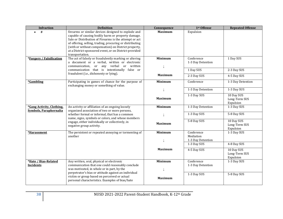| <b>Infraction</b>                                          | <b>Definition</b>                                                                                                                                                                                                                                                                                                                                 | Consequence    | 1st Offense                                  | <b>Repeated Offense</b>                  |
|------------------------------------------------------------|---------------------------------------------------------------------------------------------------------------------------------------------------------------------------------------------------------------------------------------------------------------------------------------------------------------------------------------------------|----------------|----------------------------------------------|------------------------------------------|
| #                                                          | firearms or similar devices designed to explode and<br>capable of causing bodily harm or property damage.<br>Sale or Distribution of Firearms is the attempt or act<br>of offering, selling, trading, procuring or distributing<br>(with or without compensation) on District property,<br>at a District-sponsored event, or on District-provided | <b>Maximum</b> | Expulsion                                    |                                          |
|                                                            | transportation.                                                                                                                                                                                                                                                                                                                                   |                |                                              |                                          |
| *Forgery / Falsification                                   | The act of falsely or fraudulently marking or altering<br>a document or a verbal, written or electronic<br>or any verbal<br>communication,<br>or written                                                                                                                                                                                          | <b>Minimum</b> | Conference<br>1-3 Day Detention              | 1 Day SUS                                |
|                                                            | communication that is intentionally false or                                                                                                                                                                                                                                                                                                      |                | 1 Day SUS                                    | 2-3 Day SUS                              |
|                                                            | fraudulent (i.e., dishonesty or lying).                                                                                                                                                                                                                                                                                                           | <b>Maximum</b> | 2-3 Day SUS                                  | 4-5 Day SUS                              |
| *Gambling                                                  | Participating in games of chance for the purpose of<br>exchanging money or something of value.                                                                                                                                                                                                                                                    | <b>Minimum</b> | Conference                                   | 1-3 Day Detention                        |
|                                                            |                                                                                                                                                                                                                                                                                                                                                   |                | 1-3 Day Detention                            | 1-3 Day SUS                              |
|                                                            |                                                                                                                                                                                                                                                                                                                                                   | <b>Maximum</b> | 1-3 Day SUS                                  | 10 Day SUS<br>Long-Term SUS<br>Expulsion |
| *Gang Activity, Clothing,<br><b>Symbols, Paraphernalia</b> | An activity or affiliation of an ongoing loosely<br>organized association of two or more persons,                                                                                                                                                                                                                                                 | <b>Minimum</b> | 1-3 Day Detention                            | 1-3 Day SUS                              |
|                                                            | whether formal or informal, that has a common<br>name, signs, symbols or colors, and whose members<br>engage, either individually or collectively, in<br>negative group activity.                                                                                                                                                                 |                | 1-3 Day SUS                                  | 5-8 Day SUS                              |
|                                                            |                                                                                                                                                                                                                                                                                                                                                   | <b>Maximum</b> | 5-8 Day SUS                                  | 10 Day SUS<br>Long-Term SUS<br>Expulsion |
| *Harassment                                                | The persistent or repeated annoying or tormenting of<br>another                                                                                                                                                                                                                                                                                   | <b>Minimum</b> | Conference<br>Mediation<br>1-3 Day Detention | 1-3 Day SUS                              |
|                                                            |                                                                                                                                                                                                                                                                                                                                                   |                | 1-3 Day SUS                                  | 4-8 Day SUS                              |
|                                                            |                                                                                                                                                                                                                                                                                                                                                   | <b>Maximum</b> | 4-5 Day SUS                                  | 10 Day SUS<br>Long-Term SUS<br>Expulsion |
| *Hate / Bias-Related<br>Incidents                          | Any written, oral, physical or electronic<br>communication that one could reasonably conclude<br>was motivated, in whole or in part, by the                                                                                                                                                                                                       | <b>Minimum</b> | Conference<br>1-3 Day Detention              | 1-3 Day SUS                              |
|                                                            | perpetrator's bias or attitude against an individual<br>victim or group based on perceived or actual<br>personal characteristics. Examples of bias/hate                                                                                                                                                                                           | <b>Maximum</b> | 1-3 Day SUS                                  | 5-8 Day SUS                              |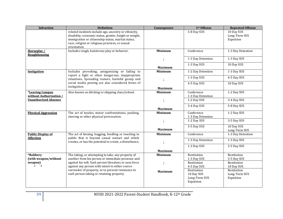| <b>Infraction</b>                            | <b>Definition</b>                                                                                      | Consequence    | 1st Offense                      | <b>Repeated Offense</b> |
|----------------------------------------------|--------------------------------------------------------------------------------------------------------|----------------|----------------------------------|-------------------------|
|                                              | related incidents include age, ancestry or ethnicity,                                                  |                | 5-8 Day SUS                      | 10 Day SUS              |
|                                              | disability, economic status, gender, height or weight,                                                 |                |                                  | Long-Term SUS           |
|                                              | immigration or citizenship status, marital status,                                                     |                |                                  | Expulsion               |
|                                              | race, religion or religious practices, or sexual                                                       |                |                                  |                         |
|                                              | orientation.                                                                                           |                |                                  |                         |
| Horseplay /                                  | Includes rough, boisterous play or behavior.                                                           | <b>Minimum</b> | Conference                       | 1-3 Day Detention       |
| <b>Roughhousing</b>                          |                                                                                                        |                |                                  |                         |
|                                              |                                                                                                        |                | 1-3 Day Detention                | 1-3 Day SUS             |
|                                              |                                                                                                        |                | 1-3 Day SUS                      | 10 Day SUS              |
|                                              |                                                                                                        | <b>Maximum</b> |                                  |                         |
| <b>Instigation</b>                           | Includes provoking, antagonizing or failing to<br>report a fight or other dangerous, inappropriate     | <b>Minimum</b> | 1-2 Day Detention                | 1-3 Day SUS             |
|                                              | situations. Spreading rumors, harmful gossip and                                                       |                | 1-3 Day SUS                      | 4-5 Day SUS             |
|                                              | social media posting are also considered forms of                                                      |                | 4-5 Day SUS                      | 10 Day SUS              |
|                                              | instigation.                                                                                           | <b>Maximum</b> |                                  |                         |
| *Leaving Campus                              | Also known as ditching or skipping class/school.                                                       | <b>Minimum</b> | Conference                       | 1-2 Day SUS             |
| without Authorization /                      |                                                                                                        |                | 1-3 Day Detention                |                         |
| <b>Unauthorized Absence</b>                  |                                                                                                        |                | 1-2 Day SUS                      | 3-4 Day SUS             |
|                                              |                                                                                                        |                | 3-4 Day SUS                      | 5-8 Day SUS             |
|                                              |                                                                                                        | <b>Maximum</b> |                                  |                         |
| <b>Physical Aggression</b>                   | The act of tussles, minor confrontations, pushing,                                                     | <b>Minimum</b> | Conference                       | 1-2 Day SUS             |
|                                              | shoving or other physical provocation.                                                                 |                | 1-3 Day Detention<br>1-2 Day SUS | 3-5 Day SUS             |
|                                              |                                                                                                        |                |                                  |                         |
|                                              |                                                                                                        |                | 3-5 Day SUS                      | 10 Day SUS              |
|                                              |                                                                                                        | <b>Maximum</b> |                                  | Long-Term SUS           |
| <b>Public Display of</b><br><b>Affection</b> | The act of kissing, hugging, fondling or touching in<br>public that is beyond casual contact and which | <b>Minimum</b> | Conference                       | 1-3 Day Detention       |
|                                              | creates, or has the potential to create, a disturbance.                                                |                | 1-3 Day Detention                | 1-3 Day SUS             |
|                                              |                                                                                                        |                | 1-3 Day SUS                      | 3-5 Day SUS             |
|                                              |                                                                                                        | <b>Maximum</b> |                                  |                         |
| *Robbery                                     | The taking, or attempting to take, any property of                                                     | <b>Minimum</b> | Restitution                      | Restitution             |
| (with weapon/without                         | another from his person or immediate presence and                                                      |                | 1-3 Day SUS                      | 3-5 Day SUS             |
| weapon)                                      | against his will. Such person threatens or uses force                                                  |                | Restitution                      | Restitution             |
| $\bullet$ #                                  | against any person with intent to either coerce                                                        |                | 4-5 Day SUS                      | 10 Day SUS              |
|                                              | surrender of property, or to prevent resistance to                                                     | <b>Maximum</b> | Restitution                      | Restitution             |
|                                              | such person taking or retaining property                                                               |                | 10 Day SUS                       | Long-Term SUS           |
|                                              |                                                                                                        |                | Long-Term SUS                    | Expulsion               |
|                                              |                                                                                                        |                | Expulsion                        |                         |
|                                              |                                                                                                        |                |                                  |                         |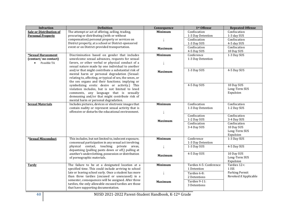| <b>Infraction</b>              | <b>Definition</b>                                        | Consequence    | 1st Offense             | <b>Repeated Offense</b>   |
|--------------------------------|----------------------------------------------------------|----------------|-------------------------|---------------------------|
| <b>Sale or Distribution of</b> | The attempt or act of offering, selling, trading,        | <b>Minimum</b> | Confiscation            | Confiscation              |
| <b>Personal Property</b>       | procuring or distributing (with or without               |                | 1-3 Day Detention       | 1-3 day SUS               |
|                                | compensation) personal property or services on           |                | Confiscation            | Confiscation              |
|                                | District property, at a school or District-sponsored     |                | 1-3 Day SUS             | 4-5 day SUS               |
|                                | event or on District-provided transportation.            | <b>Maximum</b> | Confiscation            | Confiscation              |
|                                |                                                          |                | 4-5 Day SUS             | 10 Day SUS                |
| *Sexual Harassment             | Discrimination based on gender that includes             | <b>Minimum</b> | Conference              | 1-3 Day SUS               |
| (contact/no contact)           | unwelcome sexual advances, requests for sexual           |                | 1-3 Day Detention       |                           |
| Possible TA<br>$\bullet$       | favors, or other verbal or physical conduct of a         |                |                         |                           |
|                                | sexual nature made by one individual to another          |                |                         |                           |
|                                | and/or that might contribute a substantial risk of       | <b>Maximum</b> | 1-3 Day SUS             | 4-5 Day SUS               |
|                                | mental harm or personal degradation (Sexual:             |                |                         |                           |
|                                | relating to, affecting, or typical of sex, the sexes, or |                |                         |                           |
|                                | the sex organs and their functions; implying or          |                |                         |                           |
|                                | symbolizing erotic desire or activity.) This             |                | 4-5 Day SUS             | 10 Day SUS                |
|                                | violation includes, but is not limited to lewd           |                |                         | Long-Term SUS             |
|                                | comments, any language that is sexually                  |                |                         | Expulsion                 |
|                                | demeaning and/or that might contribute risk of           |                |                         |                           |
|                                | mental harm or personal degradation.                     |                |                         |                           |
| <b>Sexual Materials</b>        | Includes pictures, devices or electronic images that     | <b>Minimum</b> | Confiscation            | Confiscation              |
|                                | contain nudity or represent sexual activity that is      |                | 1-3 Day Detention       | 1-2 Day SUS               |
|                                | offensive or disturbs the educational environment.       |                |                         |                           |
|                                |                                                          |                | Confiscation            | Confiscation              |
|                                |                                                          | <b>Maximum</b> | 1-2 Day SUS             | 3-4 Day SUS               |
|                                |                                                          |                | Confiscation            | Confiscation              |
|                                |                                                          |                | 3-4 Day SUS             | 10 Day SUS                |
|                                |                                                          |                |                         | Long-Term SUS             |
|                                |                                                          |                |                         | Expulsion                 |
| *Sexual Misconduct             | This includes, but not limited to, indecent exposure,    | <b>Minimum</b> | Conference              | 1-3 Day SUS               |
|                                | consensual participation in any sexual act involving     |                | 1-3 Day Detention       |                           |
|                                | physical contact, touching private areas,                |                | 1-3 Day SUS             | 4-5 Day SUS               |
|                                | depantsing (pulling pants down or off,) pulling at       |                |                         |                           |
|                                | another's underclothing, possession or distribution      | <b>Maximum</b> | 4-5 Day SUS             | 10 Day SUS                |
|                                | of pornographic materials.                               |                |                         | Long-Term SUS             |
|                                | The failure to be at a designated location at a          | <b>Minimum</b> | Tardies 4-5: Conference | Expulsion<br>Tardies 12+: |
| <b>Tardy</b>                   | specified time. This could include arriving to school    |                | 1 Detention             | 1 ISS                     |
|                                | late or leaving school early. Once a student has more    |                |                         | Parking Permit            |
|                                | than three tardies (excused or unexcused) in a           |                | Tardies 6-8:            | Revoked if Applicable     |
|                                | semester, consequences will be assigned. After three     |                | 2 Detentions            |                           |
|                                | tardies, the only allowable excused tardies are those    | <b>Maximum</b> | Tardies 9-11:           |                           |
|                                | that have supporting documentation.                      |                | 3 Detentions            |                           |
|                                |                                                          |                |                         |                           |

**40** NUSD 2021-2022 Parent-Student Handbook, K-12th Grade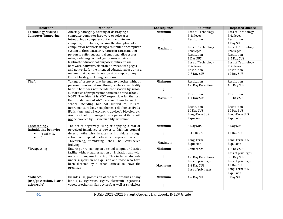| <b>Infraction</b>            | <b>Definition</b>                                       | Consequence    | 1st Offense        | <b>Repeated Offense</b> |
|------------------------------|---------------------------------------------------------|----------------|--------------------|-------------------------|
| <b>Technology Misuse /</b>   | Altering, damaging, deleting or destroying a            | <b>Minimum</b> | Loss of Technology | Loss of Technology      |
| <b>Computer Tampering</b>    | computer, computer hardware or software;                |                | Privileges         | Privileges              |
|                              | introducing a computer contaminant into any             |                | Restitution        | Restitution             |
|                              | computer, or network; causing the disruption of a       |                |                    | 1 Day SUS               |
|                              | computer or network; using a computer or computer       | <b>Maximum</b> | Loss of Technology | Loss of Technology      |
|                              | system to threaten, alarm, harass or cause another      |                | Privileges         | Privileges              |
|                              | person to suffer substantial emotional distress; or     |                | Restitution        | Restitution             |
|                              | using Nadaburg technology for uses outside of           |                | 1 Day SUS          | 2-5 Day SUS             |
|                              | legitimate educational purposes; failure to use         |                | Loss of Technology | Loss of Technology      |
|                              | hardware, software, electronic devices, web pages       |                | Privileges         | Privileges              |
|                              | and networks for the intended educational use or in a   |                | Restitution        | Restitution             |
|                              | manner that causes disruption at a campus or any        |                | 2-3 Day SUS        | 10 Day SUS              |
|                              | District facility, including proxy use.                 |                |                    |                         |
| <b>Theft</b>                 | Taking of property that belongs to another without      | <b>Minimum</b> | Restitution        | Restitution             |
|                              | personal confrontation, threat, violence or bodily      |                | 1-3 Day Detention  | 1-3 Day SUS             |
|                              | harm. Theft does not include confiscation by school     |                |                    |                         |
|                              | authorities of property not permitted at the school.    |                | Restitution        | Restitution             |
|                              | NOTE: The District is NOT responsible for the loss,     | <b>Maximum</b> | 1-4 Day SUS        | 3-5 Day SUS             |
|                              | theft or damage of ANY personal items brought to        |                |                    |                         |
|                              | school, including but not limited to, musical           |                | Restitution        | Restitution             |
|                              | instruments, radios, headphones, cell phones, iPods,    |                | 10 Day SUS         | 10 Day SUS              |
|                              | iPads, (any and all electronic devices), bicycles, etc. |                | Long-Term SUS      | Long-Term SUS           |
|                              | Any loss, theft or damage to any personal items will    |                | Expulsion          | Expulsion               |
|                              | not be covered by District liability insurance.         |                |                    |                         |
| Threatening /                | The act of negatively using or applying a real or       | <b>Minimum</b> | 3 Day SUS          | 5 Day SUS               |
| <b>Intimidating behavior</b> | perceived imbalance of power to frighten, compel,       |                |                    |                         |
| Possible TA<br>$\bullet$     | deter or otherwise threaten or intimidate through       |                | 5-10 Day SUS       | 10 Day SUS              |
| $\#$<br>$\bullet$            | actual or implied behaviors. Repeated acts of           |                |                    |                         |
|                              | Threatening/Intimidating shall be considered            | <b>Maximum</b> | Long-Term SUS      | Long-Term SUS           |
|                              | Bullying.                                               |                | Expulsion          | Expulsion               |
| <i><b>*Trespassing</b></i>   | Entering or remaining on a school campus or district    | <b>Minimum</b> | Conference         | 1-3 Day SUS             |
|                              | facility without authorization or invitation and with   |                |                    | Loss of privileges      |
|                              | no lawful purpose for entry. This includes students     |                | 1-3 Day Detentions | 5-8 Day SUS             |
|                              | under suspension or expulsion and those who have        |                | Loss of privileges | Loss of privileges      |
|                              | been directed by a school official to leave the         | Maximum        | 1-3 Day SUS        | 10 Day SUS              |
|                              | premises.                                               |                | Loss of privileges | Long-Term SUS           |
|                              |                                                         |                |                    | Expulsion               |
| <i><b>*Tobacco</b></i>       | Includes use, possession of tobacco products of any     | <b>Minimum</b> | 1-2 Day SUS        | 3 Day SUS               |
| (use/possession/distrib      | kind (i.e., cigarettes, cigars, electronic cigarettes,  |                |                    |                         |
| ution/sale)                  | vapes, or other similar devices), as well as smokeless  |                |                    |                         |
|                              |                                                         |                |                    |                         |

**41** NUSD 2021-2022 Parent-Student Handbook, K-12th Grade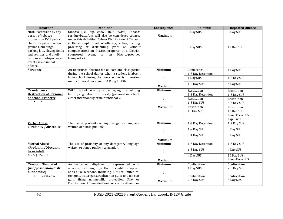| <b>Infraction</b>                                                                                                                                                                                                                                                                                                                 | <b>Definition</b>                                                                                                                                                  | Consequence    | 1st Offense                      | <b>Repeated Offense</b>                                 |
|-----------------------------------------------------------------------------------------------------------------------------------------------------------------------------------------------------------------------------------------------------------------------------------------------------------------------------------|--------------------------------------------------------------------------------------------------------------------------------------------------------------------|----------------|----------------------------------|---------------------------------------------------------|
| tobacco (i.e., dip, chew, snuff, twist.) Tobacco<br>Note: Possession by any<br>person of tobacco<br>residue/butts/etc. will also be considered tobacco<br>under this definition. Sale or Distribution of Tobacco<br>products on K-12 public,<br>charter or private school<br>is the attempt or act of offering, selling, trading, |                                                                                                                                                                    | <b>Maximum</b> | 3 Day SUS                        | 5 Day SUS                                               |
| grounds, buildings,<br>parking lots, playing fields<br>and vehicles, and at off-<br>campus school-sponsored<br>events, is a criminal<br>offense.                                                                                                                                                                                  | procuring or distributing (with or without<br>compensation) on District property, at a District-<br>sponsored event, or on<br>District-provided<br>transportation. |                | 5 Day SUS                        | 10 Day SUS                                              |
| *Truancy                                                                                                                                                                                                                                                                                                                          | An unexcused absence for at least one class period<br>during the school day or when a student is absent                                                            | <b>Minimum</b> | Conference<br>1-3 Day Detention  | 1 Day SUS                                               |
|                                                                                                                                                                                                                                                                                                                                   | from school during the hours school is in session,<br>unless excused pursuant to A.R.S. § 15-802                                                                   |                | 1 Day SUS                        | 1-3 Day SUS                                             |
|                                                                                                                                                                                                                                                                                                                                   |                                                                                                                                                                    | <b>Maximum</b> | 1-3 Day SUS                      | 4 Day SUS                                               |
| *Vandalism /<br><b>Destruction of Personal</b>                                                                                                                                                                                                                                                                                    | Willful act of defacing or destroying any building,<br>fixture, vegetation or property (personal or school)                                                        | <b>Minimum</b> | Restitution<br>1-3 Day Detention | Restitution<br>1-3 Day SUS                              |
| or School Property<br>#                                                                                                                                                                                                                                                                                                           | either intentionally or unintentionally.                                                                                                                           |                | Restitution<br>1-3 Day SUS       | Restitution<br>3-5 Day SUS                              |
|                                                                                                                                                                                                                                                                                                                                   |                                                                                                                                                                    | <b>Maximum</b> | Restitution<br>10 Day SUS        | Restitution<br>10 Day SUS<br>Long-Term SUS<br>Expulsion |
| <b>Verbal Abuse</b><br>/Profanity / Obscenity                                                                                                                                                                                                                                                                                     | The use of profanity or any derogatory language<br>written or stated publicly.                                                                                     | <b>Minimum</b> | 1-3 Day Detention                | 1-2 Day SUS                                             |
|                                                                                                                                                                                                                                                                                                                                   |                                                                                                                                                                    |                | 1-2 Day SUS                      | 3 Day SUS                                               |
|                                                                                                                                                                                                                                                                                                                                   |                                                                                                                                                                    | <b>Maximum</b> | 3-4 Day SUS                      | 5 Day SUS                                               |
| *Verbal Abuse                                                                                                                                                                                                                                                                                                                     | The use of profanity or any derogatory language                                                                                                                    | <b>Minimum</b> | 1-3 Day Detention                | 1-3 Day SUS                                             |
| /Profanity / Obscenity<br>to an Adult                                                                                                                                                                                                                                                                                             | written or stated publicly to an adult.                                                                                                                            |                | 1-3 Day SUS                      | 4 Day SUS                                               |
| A.R.S. § 15-507                                                                                                                                                                                                                                                                                                                   |                                                                                                                                                                    | <b>Maximum</b> | 4 Day SUS                        | 10 Day SUS<br>Long-Term SUS                             |
| *Weapon Simulated<br>(use/possession/distri<br>bution/sale)                                                                                                                                                                                                                                                                       | An instrument displayed or represented as a<br>weapon, including toys that resemble weapons.<br>Look-alike weapons, including, but not limited to,                 | <b>Minimum</b> | Confiscation<br>1 Day SUS        | Confiscation<br>2-3 Day SUS                             |
| Possible TA                                                                                                                                                                                                                                                                                                                       | toy guns, water guns, replica non-guns, and air-soft<br>guns firing nonmetallic projectiles. Sale or<br>Distribution of Simulated Weapons is the attempt or        | <b>Maximum</b> | Confiscation<br>2-3 Day SUS      | Confiscation<br>4 Day SUS                               |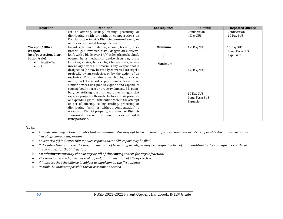| <b>Infraction</b>                                     | <b>Definition</b>                                                  | Consequence    | 1st Offense   | <b>Repeated Offense</b> |
|-------------------------------------------------------|--------------------------------------------------------------------|----------------|---------------|-------------------------|
|                                                       | act of offering, selling, trading, procuring or                    |                | Confiscation  | Confiscation            |
|                                                       | distributing (with or without compensation) on                     |                | 4 Day SUS     | 10 Day SUS              |
|                                                       | District property, at a District-sponsored event, or               |                |               |                         |
|                                                       | on District-provided transportation.                               |                |               |                         |
| *Weapon/Other                                         | Includes (but not limited to) a bomb, firearm, other               | <b>Minimum</b> | 1-3 Day SUS   | 10 Day SUS              |
| Weapon                                                | firearm, gun, revolver, pistol, dagger, dirk, stiletto,            |                | Long-Term SUS |                         |
| (use/possession/distri                                | knife with a blade over $2 \frac{1}{2}$ in length, pocket knife    |                | Expulsion     |                         |
| bution/sale)                                          | opened by a mechanical device, iron bar, brass                     |                |               |                         |
| Possible TA                                           | knuckles, chains, billy clubs, Chinese stars, or any               | <b>Maximum</b> |               |                         |
| #                                                     | incendiary devices. A firearm is any weapon that is                |                |               |                         |
|                                                       | designed to (or may be readily converted to) expel a               |                | 4-8 Day SUS   |                         |
|                                                       | projectile by an explosive, or by the action of an                 |                |               |                         |
|                                                       | explosive. This includes guns, bombs, grenades,                    |                |               |                         |
|                                                       | mines, rockets, missiles, pipe bombs, firearms or                  |                |               |                         |
|                                                       | similar devices designed to explode and capable of                 |                |               |                         |
|                                                       | causing bodily harm or property damage. BB, paint-                 |                |               |                         |
|                                                       | ball, pellet-firing, dart, or any other air gun that<br>10 Day SUS |                |               |                         |
| expels a projectile through the force of air pressure |                                                                    |                | Long-Term SUS |                         |
|                                                       | or expanding gases. Distribution/Sale is the attempt               |                | Expulsion     |                         |
|                                                       | or act of offering, selling, trading, procuring or                 |                |               |                         |
|                                                       | distributing (with or without compensation) a                      |                |               |                         |
|                                                       | weapon on District property, at a school or District-              |                |               |                         |
|                                                       | sponsored event or<br>District-provided<br>on                      |                |               |                         |
|                                                       | transportation.                                                    |                |               |                         |

#### *Note:*

- An underlined infraction indicates that an administrator may opt to use an on-campus reassignment or ISS as a possible disciplinary action in *lieu of off-campus suspension.*
- *An asterisk (\*) indicates that a police report and/or CPS report may be filed.*
- *If the infraction occurs on the bus, a suspension of bus-riding privileges may be assigned in lieu of, or in addition to the consequences outlined in the matrix for that infraction.*
- *An administrator may choose any or all of the consequences for any infraction.*
- *The principal is the highest level of appeal for a suspension of 10 days or less.*
- *# indicates that the offense is subject to expulsion on the first offense.*
- *Possible TA indicates possible threat assessment needed.*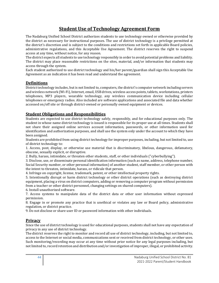## **Student Use of Technology Agreement Form**

The Nadaburg Unified School District authorizes students to use technology owned or otherwise provided by the district as necessary for instructional purposes. The use of district technology is a privilege permitted at the district's discretion and is subject to the conditions and restrictions set forth in applicable Board policies, administrative regulations, and this Acceptable Use Agreement. The district reserves the right to suspend access at any time, without notice, for any reason.

The district expects all students to use technology responsibly in order to avoid potential problems and liability. The district may place reasonable restrictions on the sites, material, and/or information that students may access through the system.

Each student authorized to use district technology and his/her parent/guardian shall sign this Acceptable Use Agreement as an indication it has been read and understand the agreement.

## **Definitions**

District technology includes, but is not limited to, computers, the district's computer network including servers and wireless network (Wi-Fi), Internet, email, USB drives, wireless access points, tablets, workstations, printers telephones, MP3 players, wearable technology, any wireless communication device including cellular telephones or emergency radios. Also included are software applications and associated file and data whether accessed on/off site or through district-owned or personally owned equipment or devices.

## **Student Obligations and Responsibilities**

Students are expected to use district technology safely, responsibly, and for educational purposes only. The student in whose name district technology is issued is responsible for its proper use at all times. Students shall not share their assigned online services account information, passwords, or other information used for identification and authorization purposes, and shall use the system only under the account to which they have been assigned.

Students are prohibited from using district technology for improper purposes, including, but not limited to, use of district technology to:

1. Access, post, display, or otherwise use material that is discriminatory, libelous, dangerous, defamatory, obscene, sexually explicit, or disruptive.

2. Bully, harass, intimidate, or threaten other students, staff, or other individuals ("cyberbullying").

3. Disclose, use, or disseminate personal identification information (such as name, address, telephone number, Social Security number, or other personal information) of another student, staff member, or other person with the intent to threaten, intimidate, harass, or ridicule that person.

4. Infringe on copyright, license, trademark, patent, or other intellectual property rights.

5. Intentionally disrupt or harm district technology or other district operations (such as destroying district equipment, placing a virus on district computers, adding or removing a computer program without permission from a teacher or other district personnel, changing settings on shared computers).

6. Install unauthorized software.

7. Access systems to manipulate data of the district data or other user information without expressed permission.

8. Engage in or promote any practice that is unethical or violates any law or Board policy, administrative regulation, or district practice.

9. Do not disclose or share user ID or password information with other individuals.

## **Privacy**

Since the use of district technology is used for educational purposes, students shall not have any expectation of privacy in any use of district technology.

The district reserves the right to monitor and record all use of district technology, including, but not limited to, access to the Internet or social media, communications sent or received from district technology, or other uses. Such monitoring/recording may occur at any time without prior notice for any legal purposes including, but not limited to, record retention and distribution and/or investigation of improper, illegal, or prohibited activity.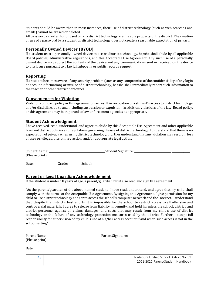Students should be aware that, in most instances, their use of district technology (such as web searches and emails) cannot be erased or deleted.

All passwords created for or used on any district technology are the sole property of the district. The creation or use of a password by a student on district technology does not create a reasonable expectation of privacy.

#### **Personally Owned Devices (BYOD)**

If a student uses a personally owned device to access district technology, he/she shall abide by all applicable Board policies, administrative regulations, and this Acceptable Use Agreement. Any such use of a personally owned device may subject the contents of the device and any communications sent or received on the device to disclosure pursuant to a lawful subpoena or public records request.

## **Reporting**

If a student becomes aware of any security problem (such as any compromise of the confidentiality of any login or account information) or misuse of district technology, he/she shall immediately report such information to the teacher or other district personnel.

#### **Consequences for Violation**

Violations of Board policy or this agreement may result in revocation of a student's access to district technology and/or discipline, up to and including suspension or expulsion. In addition, violations of the law, Board policy, or this agreement may be reported to law enforcement agencies as appropriate.

## **Student Acknowledgment**

I have received, read, understand, and agree to abide by this Acceptable Use Agreement and other applicable laws and district policies and regulations governing the use of district technology. I understand that there is no expectation of privacy when using district technology. I further understand that any violation may result in loss of user privileges, disciplinary action, and/or appropriate legal action.

| Student Name:  |        |         | Student Signature: |  |
|----------------|--------|---------|--------------------|--|
| (Please print) |        |         |                    |  |
| Date:          | Grade: | School: |                    |  |

## **Parent or Legal Guardian Acknowledgment**

If the student is under 18 years of age, a parent/guardian must also read and sign the agreement.

"As the parent/guardian of the above-named student, I have read, understand, and agree that my child shall comply with the terms of the Acceptable Use Agreement. By signing this Agreement, I give permission for my child to use district technology and/or to access the school's computer network and the Internet. I understand that, despite the district's best efforts, it is impossible for the school to restrict access to all offensive and controversial materials. I agree to release from liability, indemnify, and hold harmless the school, district, and district personnel against all claims, damages, and costs that may result from my child's use of district technology or the failure of any technology protection measures used by the district. Further, I accept full responsibility for supervision of my child's use of his/her access account if and when such access is not in the school setting".

| Parent Name:<br>(Please print) |                                                                              |
|--------------------------------|------------------------------------------------------------------------------|
| Date:                          |                                                                              |
| 45                             | Nadaburg Unified School District No. 81<br>2021-2022 Parent/Student Handbook |